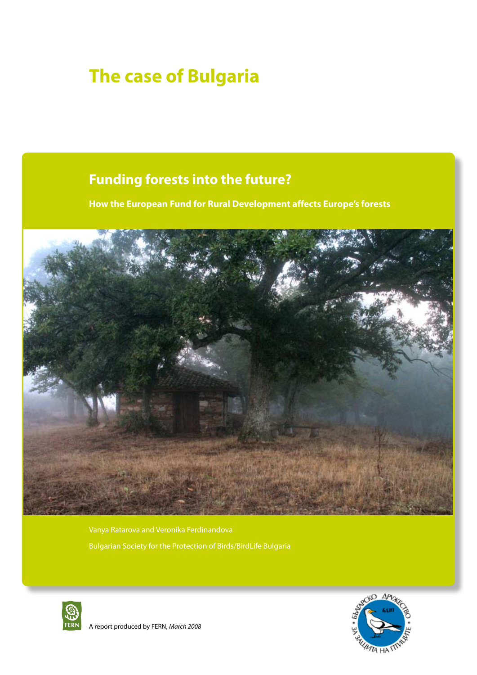# **The case of Bulgaria**

# **Funding forests into the future?**

**How the European Fund for Rural Development affects Europe's forests**



Bulgarian Society for the Protection of Birds/BirdLife Bulgaria





A report produced by FERN, *March 2008*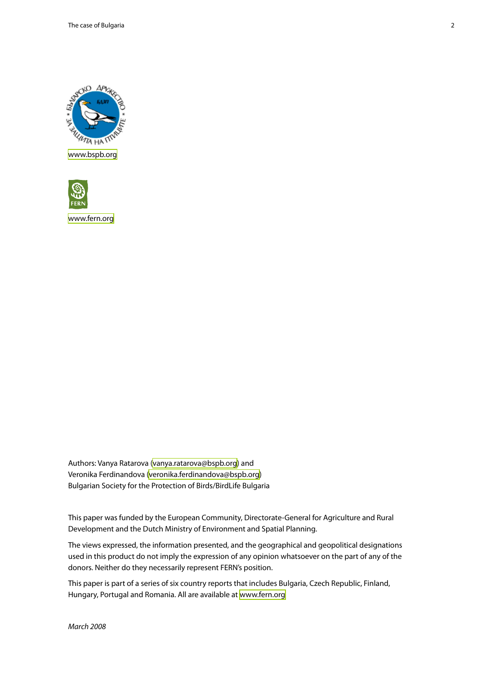The case of Bulgaria 2



<www.bspb.org>



<www.fern.org>

Authors: Vanya Ratarova ([vanya.ratarova@bspb.org\)](vanya.ratarova@bspb.org) and Veronika Ferdinandova ([veronika.ferdinandova@bspb.org\)](veronika.ferdinandova@bspb.org) Bulgarian Society for the Protection of Birds/BirdLife Bulgaria

This paper was funded by the European Community, Directorate-General for Agriculture and Rural Development and the Dutch Ministry of Environment and Spatial Planning.

The views expressed, the information presented, and the geographical and geopolitical designations used in this product do not imply the expression of any opinion whatsoever on the part of any of the donors. Neither do they necessarily represent FERN's position.

This paper is part of a series of six country reports that includes Bulgaria, Czech Republic, Finland, Hungary, Portugal and Romania. All are available at<www.fern.org>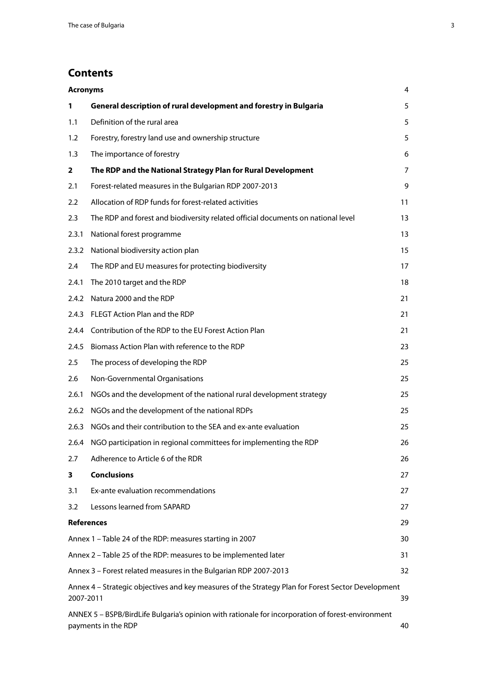# **Contents**

| <b>Acronyms</b> |                                                                                                                          | 4              |
|-----------------|--------------------------------------------------------------------------------------------------------------------------|----------------|
| $\mathbf{1}$    | General description of rural development and forestry in Bulgaria                                                        | 5              |
| 1.1             | Definition of the rural area                                                                                             | 5              |
| 1.2             | Forestry, forestry land use and ownership structure                                                                      | 5              |
| 1.3             | The importance of forestry                                                                                               | 6              |
| $\mathbf{2}$    | The RDP and the National Strategy Plan for Rural Development                                                             | $\overline{7}$ |
| 2.1             | Forest-related measures in the Bulgarian RDP 2007-2013                                                                   | 9              |
| 2.2             | Allocation of RDP funds for forest-related activities                                                                    | 11             |
| 2.3             | The RDP and forest and biodiversity related official documents on national level                                         | 13             |
| 2.3.1           | National forest programme                                                                                                | 13             |
| 2.3.2           | National biodiversity action plan                                                                                        | 15             |
| 2.4             | The RDP and EU measures for protecting biodiversity                                                                      | 17             |
| 2.4.1           | The 2010 target and the RDP                                                                                              | 18             |
| 2.4.2           | Natura 2000 and the RDP                                                                                                  | 21             |
| 2.4.3           | FLEGT Action Plan and the RDP                                                                                            | 21             |
| 2.4.4           | Contribution of the RDP to the EU Forest Action Plan                                                                     | 21             |
| 2.4.5           | Biomass Action Plan with reference to the RDP                                                                            | 23             |
| 2.5             | The process of developing the RDP                                                                                        | 25             |
| 2.6             | Non-Governmental Organisations                                                                                           | 25             |
| 2.6.1           | NGOs and the development of the national rural development strategy                                                      | 25             |
| 2.6.2           | NGOs and the development of the national RDPs                                                                            | 25             |
| 2.6.3           | NGOs and their contribution to the SEA and ex-ante evaluation                                                            | 25             |
| 2.6.4           | NGO participation in regional committees for implementing the RDP                                                        | 26             |
| 2.7             | Adherence to Article 6 of the RDR                                                                                        | 26             |
| 3               | <b>Conclusions</b>                                                                                                       | 27             |
| 3.1             | Ex-ante evaluation recommendations                                                                                       | 27             |
| 3.2             | Lessons learned from SAPARD                                                                                              | 27             |
|                 | <b>References</b>                                                                                                        | 29             |
|                 | Annex 1 - Table 24 of the RDP: measures starting in 2007                                                                 | 30             |
|                 | Annex 2 - Table 25 of the RDP: measures to be implemented later                                                          | 31             |
|                 | Annex 3 - Forest related measures in the Bulgarian RDP 2007-2013                                                         | 32             |
| 2007-2011       | Annex 4 - Strategic objectives and key measures of the Strategy Plan for Forest Sector Development                       | 39             |
|                 | ANNEX 5 - BSPB/BirdLife Bulgaria's opinion with rationale for incorporation of forest-environment<br>payments in the RDP | 40             |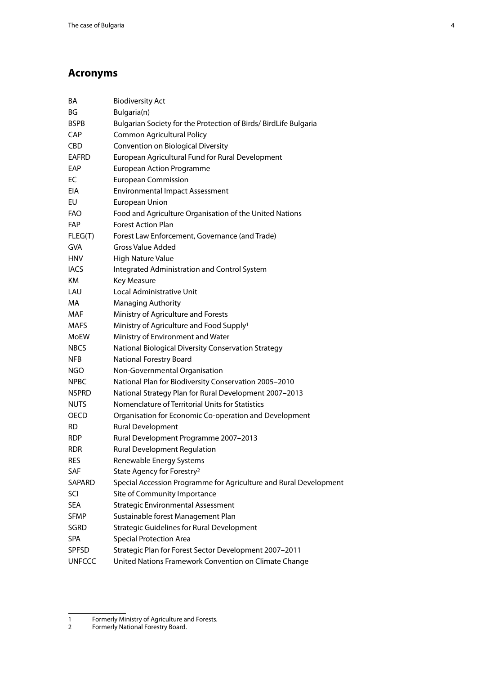# <span id="page-3-0"></span>**Acronyms**

| <b>Biodiversity Act</b>                                           |
|-------------------------------------------------------------------|
| Bulgaria(n)                                                       |
| Bulgarian Society for the Protection of Birds/ BirdLife Bulgaria  |
| <b>Common Agricultural Policy</b>                                 |
| Convention on Biological Diversity                                |
| European Agricultural Fund for Rural Development                  |
| <b>European Action Programme</b>                                  |
| <b>European Commission</b>                                        |
| <b>Environmental Impact Assessment</b>                            |
| European Union                                                    |
| Food and Agriculture Organisation of the United Nations           |
| <b>Forest Action Plan</b>                                         |
| Forest Law Enforcement, Governance (and Trade)                    |
| <b>Gross Value Added</b>                                          |
| <b>High Nature Value</b>                                          |
| Integrated Administration and Control System                      |
| Key Measure                                                       |
| Local Administrative Unit                                         |
| <b>Managing Authority</b>                                         |
| Ministry of Agriculture and Forests                               |
| Ministry of Agriculture and Food Supply <sup>1</sup>              |
| Ministry of Environment and Water                                 |
| National Biological Diversity Conservation Strategy               |
| National Forestry Board                                           |
| Non-Governmental Organisation                                     |
| National Plan for Biodiversity Conservation 2005-2010             |
| National Strategy Plan for Rural Development 2007-2013            |
| Nomenclature of Territorial Units for Statistics                  |
| Organisation for Economic Co-operation and Development            |
| Rural Development                                                 |
| Rural Development Programme 2007-2013                             |
| <b>Rural Development Regulation</b>                               |
| Renewable Energy Systems                                          |
| State Agency for Forestry <sup>2</sup>                            |
| Special Accession Programme for Agriculture and Rural Development |
| Site of Community Importance                                      |
| <b>Strategic Environmental Assessment</b>                         |
| Sustainable forest Management Plan                                |
| <b>Strategic Guidelines for Rural Development</b>                 |
| <b>Special Protection Area</b>                                    |
| Strategic Plan for Forest Sector Development 2007-2011            |
| United Nations Framework Convention on Climate Change             |
|                                                                   |

<sup>1</sup> Formerly Ministry of Agriculture and Forests.

<sup>2</sup> Formerly National Forestry Board.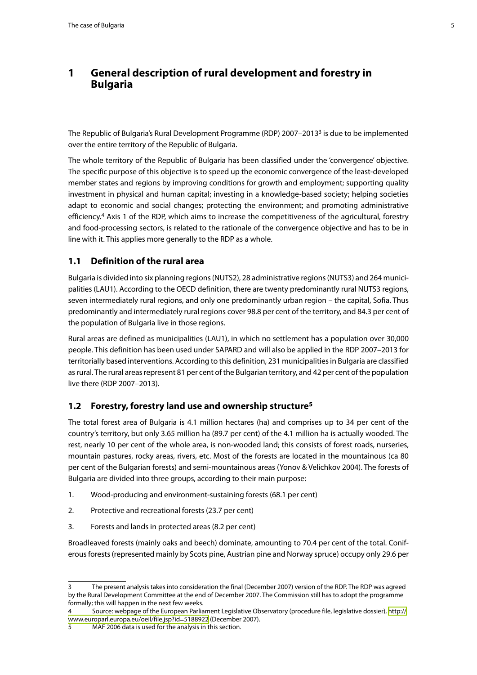## <span id="page-4-0"></span>**1 General description of rural development and forestry in Bulgaria**

The Republic of Bulgaria's Rural Development Programme (RDP) 2007–20133 is due to be implemented over the entire territory of the Republic of Bulgaria.

The whole territory of the Republic of Bulgaria has been classified under the 'convergence' objective. The specific purpose of this objective is to speed up the economic convergence of the least-developed member states and regions by improving conditions for growth and employment; supporting quality investment in physical and human capital; investing in a knowledge-based society; helping societies adapt to economic and social changes; protecting the environment; and promoting administrative efficiency.4 Axis 1 of the RDP, which aims to increase the competitiveness of the agricultural, forestry and food-processing sectors, is related to the rationale of the convergence objective and has to be in line with it. This applies more generally to the RDP as a whole.

## **1.1 Definition of the rural area**

Bulgaria is divided into six planning regions (NUTS2), 28 administrative regions (NUTS3) and 264 municipalities (LAU1). According to the OECD definition, there are twenty predominantly rural NUTS3 regions, seven intermediately rural regions, and only one predominantly urban region – the capital, Sofia. Thus predominantly and intermediately rural regions cover 98.8 per cent of the territory, and 84.3 per cent of the population of Bulgaria live in those regions.

Rural areas are defined as municipalities (LAU1), in which no settlement has a population over 30,000 people. This definition has been used under SAPARD and will also be applied in the RDP 2007–2013 for territorially based interventions. According to this definition, 231 municipalities in Bulgaria are classified as rural. The rural areas represent 81 per cent of the Bulgarian territory, and 42 per cent of the population live there (RDP 2007–2013).

## **1.2 Forestry, forestry land use and ownership structure5**

The total forest area of Bulgaria is 4.1 million hectares (ha) and comprises up to 34 per cent of the country's territory, but only 3.65 million ha (89.7 per cent) of the 4.1 million ha is actually wooded. The rest, nearly 10 per cent of the whole area, is non-wooded land; this consists of forest roads, nurseries, mountain pastures, rocky areas, rivers, etc. Most of the forests are located in the mountainous (ca 80 per cent of the Bulgarian forests) and semi-mountainous areas (Yonov & Velichkov 2004). The forests of Bulgaria are divided into three groups, according to their main purpose:

- 1. Wood-producing and environment-sustaining forests (68.1 per cent)
- 2. Protective and recreational forests (23.7 per cent)
- 3. Forests and lands in protected areas (8.2 per cent)

Broadleaved forests (mainly oaks and beech) dominate, amounting to 70.4 per cent of the total. Coniferous forests (represented mainly by Scots pine, Austrian pine and Norway spruce) occupy only 29.6 per

<sup>3</sup> The present analysis takes into consideration the final (December 2007) version of the RDP. The RDP was agreed by the Rural Development Committee at the end of December 2007. The Commission still has to adopt the programme formally; this will happen in the next few weeks.

<sup>4</sup> Source: webpage of the European Parliament Legislative Observatory (procedure file, legislative dossier), [http://](http://www.europarl.europa.eu/oeil/file.jsp?id=5188922) [www.europarl.europa.eu/oeil/file.jsp?id=5188922](http://www.europarl.europa.eu/oeil/file.jsp?id=5188922) (December 2007).

<sup>5</sup> MAF 2006 data is used for the analysis in this section.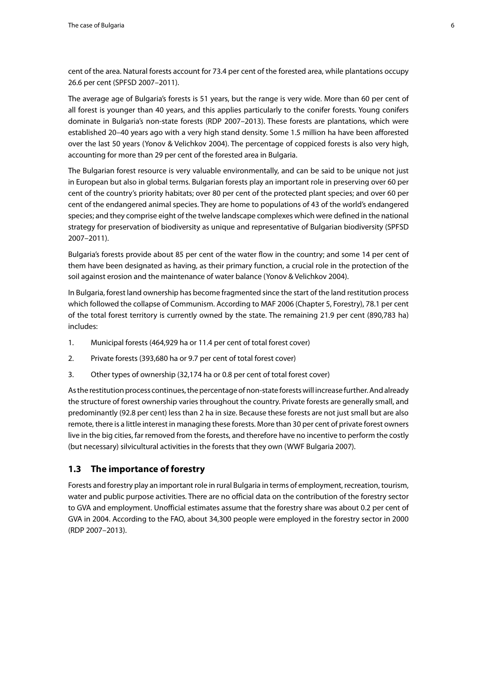<span id="page-5-0"></span>cent of the area. Natural forests account for 73.4 per cent of the forested area, while plantations occupy 26.6 per cent (SPFSD 2007–2011).

The average age of Bulgaria's forests is 51 years, but the range is very wide. More than 60 per cent of all forest is younger than 40 years, and this applies particularly to the conifer forests. Young conifers dominate in Bulgaria's non-state forests (RDP 2007–2013). These forests are plantations, which were established 20–40 years ago with a very high stand density. Some 1.5 million ha have been afforested over the last 50 years (Yonov & Velichkov 2004). The percentage of coppiced forests is also very high, accounting for more than 29 per cent of the forested area in Bulgaria.

The Bulgarian forest resource is very valuable environmentally, and can be said to be unique not just in European but also in global terms. Bulgarian forests play an important role in preserving over 60 per cent of the country's priority habitats; over 80 per cent of the protected plant species; and over 60 per cent of the endangered animal species. They are home to populations of 43 of the world's endangered species; and they comprise eight of the twelve landscape complexes which were defined in the national strategy for preservation of biodiversity as unique and representative of Bulgarian biodiversity (SPFSD 2007–2011).

Bulgaria's forests provide about 85 per cent of the water flow in the country; and some 14 per cent of them have been designated as having, as their primary function, a crucial role in the protection of the soil against erosion and the maintenance of water balance (Yonov & Velichkov 2004).

In Bulgaria, forest land ownership has become fragmented since the start of the land restitution process which followed the collapse of Communism. According to MAF 2006 (Chapter 5, Forestry), 78.1 per cent of the total forest territory is currently owned by the state. The remaining 21.9 per cent (890,783 ha) includes:

- 1. Municipal forests (464,929 ha or 11.4 per cent of total forest cover)
- 2. Private forests (393,680 ha or 9.7 per cent of total forest cover)
- 3. Other types of ownership (32,174 ha or 0.8 per cent of total forest cover)

As the restitution process continues, the percentage of non-state forests will increase further. And already the structure of forest ownership varies throughout the country. Private forests are generally small, and predominantly (92.8 per cent) less than 2 ha in size. Because these forests are not just small but are also remote, there is a little interest in managing these forests. More than 30 per cent of private forest owners live in the big cities, far removed from the forests, and therefore have no incentive to perform the costly (but necessary) silvicultural activities in the forests that they own (WWF Bulgaria 2007).

## **1.3 The importance of forestry**

Forests and forestry play an important role in rural Bulgaria in terms of employment, recreation, tourism, water and public purpose activities. There are no official data on the contribution of the forestry sector to GVA and employment. Unofficial estimates assume that the forestry share was about 0.2 per cent of GVA in 2004. According to the FAO, about 34,300 people were employed in the forestry sector in 2000 (RDP 2007–2013).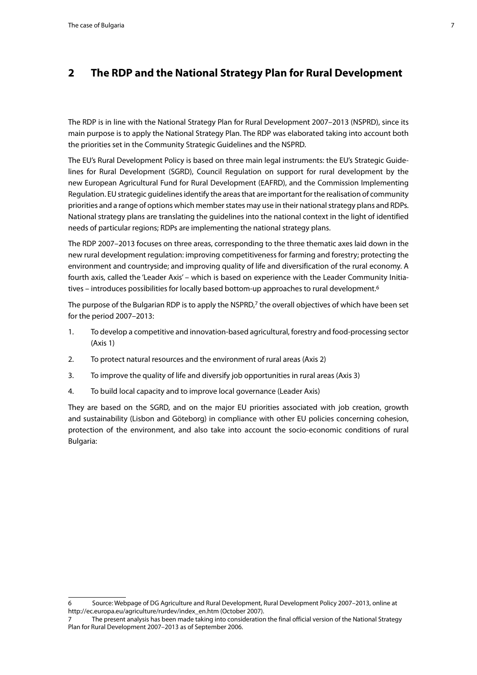## <span id="page-6-0"></span>**2 The RDP and the National Strategy Plan for Rural Development**

The RDP is in line with the National Strategy Plan for Rural Development 2007–2013 (NSPRD), since its main purpose is to apply the National Strategy Plan. The RDP was elaborated taking into account both the priorities set in the Community Strategic Guidelines and the NSPRD.

The EU's Rural Development Policy is based on three main legal instruments: the EU's Strategic Guidelines for Rural Development (SGRD), Council Regulation on support for rural development by the new European Agricultural Fund for Rural Development (EAFRD), and the Commission Implementing Regulation. EU strategic guidelines identify the areas that are important for the realisation of community priorities and a range of options which member states may use in their national strategy plans and RDPs. National strategy plans are translating the guidelines into the national context in the light of identified needs of particular regions; RDPs are implementing the national strategy plans.

The RDP 2007–2013 focuses on three areas, corresponding to the three thematic axes laid down in the new rural development regulation: improving competitiveness for farming and forestry; protecting the environment and countryside; and improving quality of life and diversification of the rural economy. A fourth axis, called the 'Leader Axis' – which is based on experience with the Leader Community Initiatives – introduces possibilities for locally based bottom-up approaches to rural development.<sup>6</sup>

The purpose of the Bulgarian RDP is to apply the NSPRD,7 the overall objectives of which have been set for the period 2007–2013:

- 1. To develop a competitive and innovation-based agricultural, forestry and food-processing sector (Axis 1)
- 2. To protect natural resources and the environment of rural areas (Axis 2)
- 3. To improve the quality of life and diversify job opportunities in rural areas (Axis 3)
- 4. To build local capacity and to improve local governance (Leader Axis)

They are based on the SGRD, and on the major EU priorities associated with job creation, growth and sustainability (Lisbon and Göteborg) in compliance with other EU policies concerning cohesion, protection of the environment, and also take into account the socio-economic conditions of rural Bulgaria:

<sup>6</sup> Source: Webpage of DG Agriculture and Rural Development, Rural Development Policy 2007–2013, online at http://ec.europa.eu/agriculture/rurdev/index\_en.htm (October 2007).

<sup>7</sup> The present analysis has been made taking into consideration the final official version of the National Strategy Plan for Rural Development 2007–2013 as of September 2006.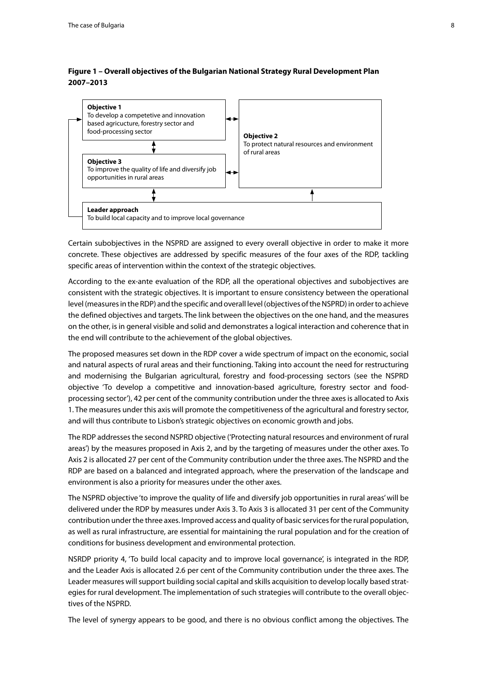#### **Figure 1 – Overall objectives of the Bulgarian National Strategy Rural Development Plan 2007–2013**



Certain subobjectives in the NSPRD are assigned to every overall objective in order to make it more concrete. These objectives are addressed by specific measures of the four axes of the RDP, tackling specific areas of intervention within the context of the strategic objectives.

According to the ex-ante evaluation of the RDP, all the operational objectives and subobjectives are consistent with the strategic objectives. It is important to ensure consistency between the operational level (measures in the RDP) and the specific and overall level (objectives of the NSPRD) in order to achieve the defined objectives and targets. The link between the objectives on the one hand, and the measures on the other, is in general visible and solid and demonstrates a logical interaction and coherence that in the end will contribute to the achievement of the global objectives.

The proposed measures set down in the RDP cover a wide spectrum of impact on the economic, social and natural aspects of rural areas and their functioning. Taking into account the need for restructuring and modernising the Bulgarian agricultural, forestry and food-processing sectors (see the NSPRD objective 'To develop a competitive and innovation-based agriculture, forestry sector and foodprocessing sector'), 42 per cent of the community contribution under the three axes is allocated to Axis 1. The measures under this axis will promote the competitiveness of the agricultural and forestry sector, and will thus contribute to Lisbon's strategic objectives on economic growth and jobs.

The RDP addresses the second NSPRD objective ('Protecting natural resources and environment of rural areas') by the measures proposed in Axis 2, and by the targeting of measures under the other axes. To Axis 2 is allocated 27 per cent of the Community contribution under the three axes. The NSPRD and the RDP are based on a balanced and integrated approach, where the preservation of the landscape and environment is also a priority for measures under the other axes.

The NSPRD objective 'to improve the quality of life and diversify job opportunities in rural areas' will be delivered under the RDP by measures under Axis 3. To Axis 3 is allocated 31 per cent of the Community contribution under the three axes. Improved access and quality of basic services for the rural population, as well as rural infrastructure, are essential for maintaining the rural population and for the creation of conditions for business development and environmental protection.

NSRDP priority 4, 'To build local capacity and to improve local governance', is integrated in the RDP, and the Leader Axis is allocated 2.6 per cent of the Community contribution under the three axes. The Leader measures will support building social capital and skills acquisition to develop locally based strategies for rural development. The implementation of such strategies will contribute to the overall objectives of the NSPRD.

The level of synergy appears to be good, and there is no obvious conflict among the objectives. The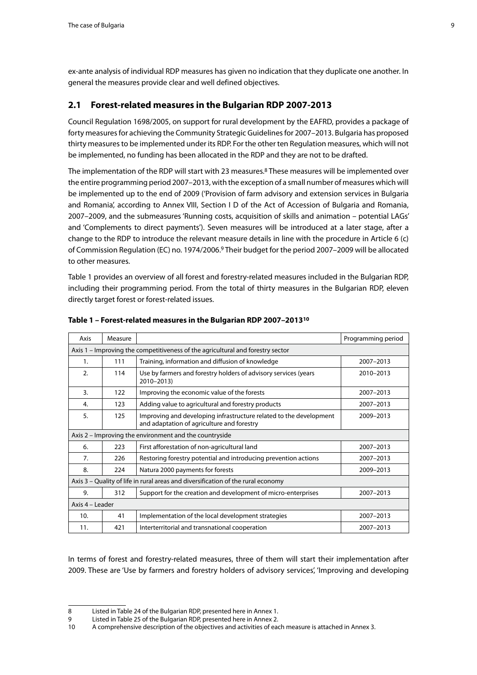<span id="page-8-0"></span>ex-ante analysis of individual RDP measures has given no indication that they duplicate one another. In general the measures provide clear and well defined objectives.

## **2.1 Forest-related measures in the Bulgarian RDP 2007-2013**

Council Regulation 1698/2005, on support for rural development by the EAFRD, provides a package of forty measures for achieving the Community Strategic Guidelines for 2007–2013. Bulgaria has proposed thirty measures to be implemented under its RDP. For the other ten Regulation measures, which will not be implemented, no funding has been allocated in the RDP and they are not to be drafted.

The implementation of the RDP will start with 23 measures.<sup>8</sup> These measures will be implemented over the entire programming period 2007–2013, with the exception of a small number of measures which will be implemented up to the end of 2009 ('Provision of farm advisory and extension services in Bulgaria and Romania', according to Annex VIII, Section I D of the Act of Accession of Bulgaria and Romania, 2007–2009, and the submeasures 'Running costs, acquisition of skills and animation – potential LAGs' and 'Complements to direct payments'). Seven measures will be introduced at a later stage, after a change to the RDP to introduce the relevant measure details in line with the procedure in Article 6 (c) of Commission Regulation (EC) no. 1974/2006.9 Their budget for the period 2007–2009 will be allocated to other measures.

Table 1 provides an overview of all forest and forestry-related measures included in the Bulgarian RDP, including their programming period. From the total of thirty measures in the Bulgarian RDP, eleven directly target forest or forest-related issues.

| Axis | Measure                                                                        |                                                                                                                  | Programming period |  |  |  |  |  |  |  |
|------|--------------------------------------------------------------------------------|------------------------------------------------------------------------------------------------------------------|--------------------|--|--|--|--|--|--|--|
|      |                                                                                |                                                                                                                  |                    |  |  |  |  |  |  |  |
|      | Axis 1 – Improving the competitiveness of the agricultural and forestry sector |                                                                                                                  |                    |  |  |  |  |  |  |  |
| 1.   | 111                                                                            | Training, information and diffusion of knowledge                                                                 | 2007-2013          |  |  |  |  |  |  |  |
| 2.   | 114                                                                            | Use by farmers and forestry holders of advisory services (years<br>2010-2013)                                    | 2010-2013          |  |  |  |  |  |  |  |
| 3.   | 122                                                                            | Improving the economic value of the forests                                                                      | 2007-2013          |  |  |  |  |  |  |  |
| 4.   | 123                                                                            | Adding value to agricultural and forestry products                                                               | 2007-2013          |  |  |  |  |  |  |  |
| 5.   | 125                                                                            | Improving and developing infrastructure related to the development<br>and adaptation of agriculture and forestry | 2009-2013          |  |  |  |  |  |  |  |
|      |                                                                                | Axis 2 - Improving the environment and the countryside                                                           |                    |  |  |  |  |  |  |  |
| 6.   | 223                                                                            | First afforestation of non-agricultural land                                                                     | 2007-2013          |  |  |  |  |  |  |  |
| 7.   | 226                                                                            | Restoring forestry potential and introducing prevention actions                                                  | 2007-2013          |  |  |  |  |  |  |  |
| 8.   | 224                                                                            | Natura 2000 payments for forests                                                                                 | 2009-2013          |  |  |  |  |  |  |  |
|      |                                                                                | Axis 3 - Quality of life in rural areas and diversification of the rural economy                                 |                    |  |  |  |  |  |  |  |
| 9.   | 312                                                                            | Support for the creation and development of micro-enterprises                                                    | 2007-2013          |  |  |  |  |  |  |  |
|      | Axis $4 - 1$ eader                                                             |                                                                                                                  |                    |  |  |  |  |  |  |  |
| 10.  | 41                                                                             | Implementation of the local development strategies                                                               | 2007-2013          |  |  |  |  |  |  |  |
| 11.  | 421                                                                            | Interterritorial and transnational cooperation                                                                   | 2007-2013          |  |  |  |  |  |  |  |

#### **Table 1 – Forest-related measures in the Bulgarian RDP 2007–201310**

In terms of forest and forestry-related measures, three of them will start their implementation after 2009. These are 'Use by farmers and forestry holders of advisory services', 'Improving and developing

<sup>8</sup> Listed in Table 24 of the Bulgarian RDP, presented here in Annex 1.

<sup>9</sup> Listed in Table 25 of the Bulgarian RDP, presented here in Annex 2.

<sup>10</sup> A comprehensive description of the objectives and activities of each measure is attached in Annex 3.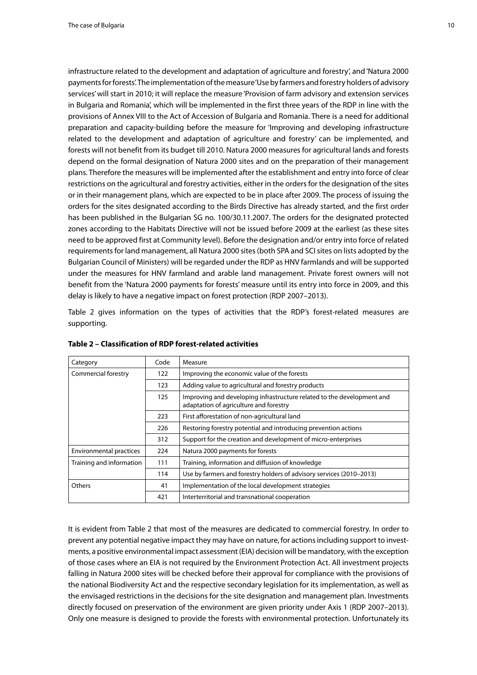infrastructure related to the development and adaptation of agriculture and forestry', and 'Natura 2000 payments for forests'. The implementation of the measure 'Use by farmers and forestry holders of advisory

services' will start in 2010; it will replace the measure 'Provision of farm advisory and extension services in Bulgaria and Romania', which will be implemented in the first three years of the RDP in line with the provisions of Annex VIII to the Act of Accession of Bulgaria and Romania. There is a need for additional preparation and capacity-building before the measure for 'Improving and developing infrastructure related to the development and adaptation of agriculture and forestry' can be implemented, and forests will not benefit from its budget till 2010. Natura 2000 measures for agricultural lands and forests depend on the formal designation of Natura 2000 sites and on the preparation of their management plans. Therefore the measures will be implemented after the establishment and entry into force of clear restrictions on the agricultural and forestry activities, either in the orders for the designation of the sites or in their management plans, which are expected to be in place after 2009. The process of issuing the orders for the sites designated according to the Birds Directive has already started, and the first order has been published in the Bulgarian SG no. 100/30.11.2007. The orders for the designated protected zones according to the Habitats Directive will not be issued before 2009 at the earliest (as these sites need to be approved first at Community level). Before the designation and/or entry into force of related requirements for land management, all Natura 2000 sites (both SPA and SCI sites on lists adopted by the Bulgarian Council of Ministers) will be regarded under the RDP as HNV farmlands and will be supported under the measures for HNV farmland and arable land management. Private forest owners will not benefit from the 'Natura 2000 payments for forests' measure until its entry into force in 2009, and this delay is likely to have a negative impact on forest protection (RDP 2007–2013).

Table 2 gives information on the types of activities that the RDP's forest-related measures are supporting.

| Category                       | Code | Measure                                                                                                          |
|--------------------------------|------|------------------------------------------------------------------------------------------------------------------|
| Commercial forestry            | 122  | Improving the economic value of the forests                                                                      |
|                                | 123  | Adding value to agricultural and forestry products                                                               |
|                                | 125  | Improving and developing infrastructure related to the development and<br>adaptation of agriculture and forestry |
|                                | 223  | First afforestation of non-agricultural land                                                                     |
|                                | 226  | Restoring forestry potential and introducing prevention actions                                                  |
|                                | 312  | Support for the creation and development of micro-enterprises                                                    |
| <b>Environmental practices</b> | 224  | Natura 2000 payments for forests                                                                                 |
| Training and information       | 111  | Training, information and diffusion of knowledge                                                                 |
|                                | 114  | Use by farmers and forestry holders of advisory services (2010–2013)                                             |
| Others                         | 41   | Implementation of the local development strategies                                                               |
|                                | 421  | Interterritorial and transnational cooperation                                                                   |

**Table 2 – Classification of RDP forest-related activities**

It is evident from Table 2 that most of the measures are dedicated to commercial forestry. In order to prevent any potential negative impact they may have on nature, for actions including support to investments, a positive environmental impact assessment (EIA) decision will be mandatory, with the exception of those cases where an EIA is not required by the Environment Protection Act. All investment projects falling in Natura 2000 sites will be checked before their approval for compliance with the provisions of the national Biodiversity Act and the respective secondary legislation for its implementation, as well as the envisaged restrictions in the decisions for the site designation and management plan. Investments directly focused on preservation of the environment are given priority under Axis 1 (RDP 2007–2013). Only one measure is designed to provide the forests with environmental protection. Unfortunately its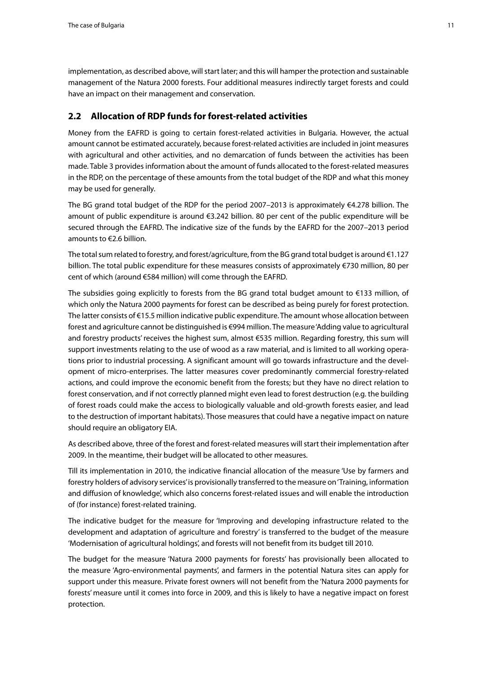<span id="page-10-0"></span>implementation, as described above, will start later; and this will hamper the protection and sustainable management of the Natura 2000 forests. Four additional measures indirectly target forests and could have an impact on their management and conservation.

## **2.2 Allocation of RDP funds for forest-related activities**

Money from the EAFRD is going to certain forest-related activities in Bulgaria. However, the actual amount cannot be estimated accurately, because forest-related activities are included in joint measures with agricultural and other activities, and no demarcation of funds between the activities has been made. Table 3 provides information about the amount of funds allocated to the forest-related measures in the RDP, on the percentage of these amounts from the total budget of the RDP and what this money may be used for generally.

The BG grand total budget of the RDP for the period 2007–2013 is approximately €4.278 billion. The amount of public expenditure is around €3.242 billion. 80 per cent of the public expenditure will be secured through the EAFRD. The indicative size of the funds by the EAFRD for the 2007–2013 period amounts to €2.6 billion.

The total sum related to forestry, and forest/agriculture, from the BG grand total budget is around €1.127 billion. The total public expenditure for these measures consists of approximately €730 million, 80 per cent of which (around €584 million) will come through the EAFRD.

The subsidies going explicitly to forests from the BG grand total budget amount to €133 million, of which only the Natura 2000 payments for forest can be described as being purely for forest protection. The latter consists of €15.5 million indicative public expenditure. The amount whose allocation between forest and agriculture cannot be distinguished is €994 million. The measure 'Adding value to agricultural and forestry products' receives the highest sum, almost €535 million. Regarding forestry, this sum will support investments relating to the use of wood as a raw material, and is limited to all working operations prior to industrial processing. A significant amount will go towards infrastructure and the development of micro-enterprises. The latter measures cover predominantly commercial forestry-related actions, and could improve the economic benefit from the forests; but they have no direct relation to forest conservation, and if not correctly planned might even lead to forest destruction (e.g. the building of forest roads could make the access to biologically valuable and old-growth forests easier, and lead to the destruction of important habitats). Those measures that could have a negative impact on nature should require an obligatory EIA.

As described above, three of the forest and forest-related measures will start their implementation after 2009. In the meantime, their budget will be allocated to other measures.

Till its implementation in 2010, the indicative financial allocation of the measure 'Use by farmers and forestry holders of advisory services' is provisionally transferred to the measure on 'Training, information and diffusion of knowledge', which also concerns forest-related issues and will enable the introduction of (for instance) forest-related training.

The indicative budget for the measure for 'Improving and developing infrastructure related to the development and adaptation of agriculture and forestry' is transferred to the budget of the measure 'Modernisation of agricultural holdings', and forests will not benefit from its budget till 2010.

The budget for the measure 'Natura 2000 payments for forests' has provisionally been allocated to the measure 'Agro-environmental payments', and farmers in the potential Natura sites can apply for support under this measure. Private forest owners will not benefit from the 'Natura 2000 payments for forests' measure until it comes into force in 2009, and this is likely to have a negative impact on forest protection.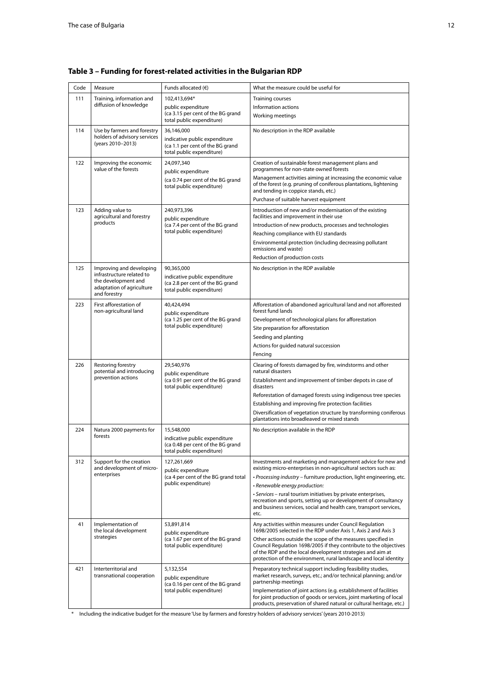| Code | Measure                                               | Funds allocated $(6)$                                              | What the measure could be useful for                                                                                                     |  |  |
|------|-------------------------------------------------------|--------------------------------------------------------------------|------------------------------------------------------------------------------------------------------------------------------------------|--|--|
| 111  | Training, information and<br>diffusion of knowledge   | 102,413,694*                                                       | <b>Training courses</b>                                                                                                                  |  |  |
|      |                                                       | public expenditure<br>(ca 3.15 per cent of the BG grand            | Information actions                                                                                                                      |  |  |
|      |                                                       | total public expenditure)                                          | Working meetings                                                                                                                         |  |  |
| 114  | Use by farmers and forestry                           | 36,146,000                                                         | No description in the RDP available                                                                                                      |  |  |
|      | holders of advisory services<br>(years 2010-2013)     | indicative public expenditure                                      |                                                                                                                                          |  |  |
|      |                                                       | (ca 1.1 per cent of the BG grand<br>total public expenditure)      |                                                                                                                                          |  |  |
| 122  | Improving the economic                                | 24,097,340                                                         | Creation of sustainable forest management plans and                                                                                      |  |  |
|      | value of the forests                                  | public expenditure                                                 | programmes for non-state owned forests                                                                                                   |  |  |
|      |                                                       | (ca 0.74 per cent of the BG grand                                  | Management activities aiming at increasing the economic value<br>of the forest (e.g. pruning of coniferous plantations, lightening       |  |  |
|      |                                                       | total public expenditure)                                          | and tending in coppice stands, etc.)                                                                                                     |  |  |
|      |                                                       |                                                                    | Purchase of suitable harvest equipment                                                                                                   |  |  |
| 123  | Adding value to                                       | 240,973,396                                                        | Introduction of new and/or modernisation of the existing                                                                                 |  |  |
|      | agricultural and forestry<br>products                 | public expenditure                                                 | facilities and improvement in their use                                                                                                  |  |  |
|      |                                                       | (ca 7.4 per cent of the BG grand<br>total public expenditure)      | Introduction of new products, processes and technologies<br>Reaching compliance with EU standards                                        |  |  |
|      |                                                       |                                                                    | Environmental protection (including decreasing pollutant                                                                                 |  |  |
|      |                                                       |                                                                    | emissions and waste)                                                                                                                     |  |  |
|      |                                                       |                                                                    | Reduction of production costs                                                                                                            |  |  |
| 125  | Improving and developing<br>infrastructure related to | 90,365,000                                                         | No description in the RDP available                                                                                                      |  |  |
|      | the development and                                   | indicative public expenditure<br>(ca 2.8 per cent of the BG grand  |                                                                                                                                          |  |  |
|      | adaptation of agriculture<br>and forestry             | total public expenditure)                                          |                                                                                                                                          |  |  |
| 223  | First afforestation of                                | 40.424.494                                                         | Afforestation of abandoned agricultural land and not afforested                                                                          |  |  |
|      | non-agricultural land                                 | public expenditure                                                 | forest fund lands                                                                                                                        |  |  |
|      |                                                       | (ca 1.25 per cent of the BG grand                                  | Development of technological plans for afforestation                                                                                     |  |  |
|      |                                                       | total public expenditure)                                          | Site preparation for afforestation                                                                                                       |  |  |
|      |                                                       |                                                                    | Seeding and planting                                                                                                                     |  |  |
|      |                                                       |                                                                    | Actions for guided natural succession<br>Fencing                                                                                         |  |  |
| 226  | Restoring forestry                                    | 29,540,976                                                         | Clearing of forests damaged by fire, windstorms and other                                                                                |  |  |
|      | potential and introducing<br>prevention actions       | public expenditure                                                 | natural disasters                                                                                                                        |  |  |
|      |                                                       | (ca 0.91 per cent of the BG grand<br>total public expenditure)     | Establishment and improvement of timber depots in case of<br>disasters                                                                   |  |  |
|      |                                                       |                                                                    | Reforestation of damaged forests using indigenous tree species                                                                           |  |  |
|      |                                                       |                                                                    | Establishing and improving fire protection facilities                                                                                    |  |  |
|      |                                                       |                                                                    | Diversification of vegetation structure by transforming coniferous                                                                       |  |  |
|      |                                                       |                                                                    | plantations into broadleaved or mixed stands                                                                                             |  |  |
| 224  | Natura 2000 payments for<br>forests                   | 15,548,000                                                         | No description available in the RDP                                                                                                      |  |  |
|      |                                                       | indicative public expenditure<br>(ca 0.48 per cent of the BG grand |                                                                                                                                          |  |  |
|      |                                                       | total public expenditure)                                          |                                                                                                                                          |  |  |
| 312  | Support for the creation                              | 127,261,669                                                        | Investments and marketing and management advice for new and                                                                              |  |  |
|      | and development of micro-<br>enterprises              | public expenditure<br>(ca 4 per cent of the BG grand total         | existing micro-enterprises in non-agricultural sectors such as:<br>· Processing industry - furniture production, light engineering, etc. |  |  |
|      |                                                       | public expenditure)                                                | · Renewable energy production:                                                                                                           |  |  |
|      |                                                       |                                                                    | · Services - rural tourism initiatives by private enterprises,                                                                           |  |  |
|      |                                                       |                                                                    | recreation and sports, setting up or development of consultancy<br>and business services, social and health care, transport services,    |  |  |
|      |                                                       |                                                                    | etc.                                                                                                                                     |  |  |
| 41   | Implementation of                                     | 53,891,814                                                         | Any activities within measures under Council Regulation                                                                                  |  |  |
|      | the local development<br>strategies                   | public expenditure                                                 | 1698/2005 selected in the RDP under Axis 1, Axis 2 and Axis 3                                                                            |  |  |
|      |                                                       | (ca 1.67 per cent of the BG grand<br>total public expenditure)     | Other actions outside the scope of the measures specified in<br>Council Regulation 1698/2005 if they contribute to the objectives        |  |  |
|      |                                                       |                                                                    | of the RDP and the local development strategies and aim at<br>protection of the environment, rural landscape and local identity          |  |  |
|      |                                                       |                                                                    |                                                                                                                                          |  |  |
| 421  | Interterritorial and<br>transnational cooperation     | 5,132,554<br>public expenditure                                    | Preparatory technical support including feasibility studies,<br>market research, surveys, etc.; and/or technical planning; and/or        |  |  |
|      |                                                       | (ca 0.16 per cent of the BG grand                                  | partnership meetings                                                                                                                     |  |  |
|      |                                                       | total public expenditure)                                          | Implementation of joint actions (e.g. establishment of facilities<br>for joint production of goods or services, joint marketing of local |  |  |
|      |                                                       |                                                                    | products, preservation of shared natural or cultural heritage, etc.)                                                                     |  |  |

**Table 3 – Funding for forest-related activities in the Bulgarian RDP** 

\* Including the indicative budget for the measure 'Use by farmers and forestry holders of advisory services' (years 2010-2013)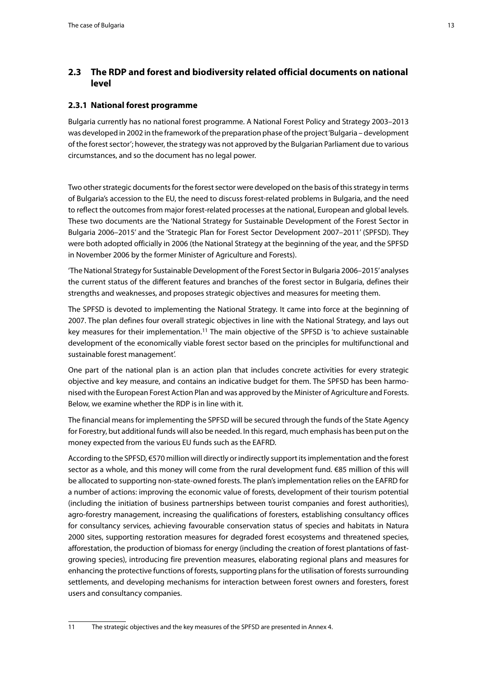## <span id="page-12-0"></span>**2.3 The RDP and forest and biodiversity related official documents on national level**

## **2.3.1 National forest programme**

Bulgaria currently has no national forest programme. A National Forest Policy and Strategy 2003–2013 was developed in 2002 in the framework of the preparation phase of the project 'Bulgaria – development of the forest sector'; however, the strategy was not approved by the Bulgarian Parliament due to various circumstances, and so the document has no legal power.

Two other strategic documents for the forest sector were developed on the basis of this strategy in terms of Bulgaria's accession to the EU, the need to discuss forest-related problems in Bulgaria, and the need to reflect the outcomes from major forest-related processes at the national, European and global levels. These two documents are the 'National Strategy for Sustainable Development of the Forest Sector in Bulgaria 2006–2015' and the 'Strategic Plan for Forest Sector Development 2007–2011' (SPFSD). They were both adopted officially in 2006 (the National Strategy at the beginning of the year, and the SPFSD in November 2006 by the former Minister of Agriculture and Forests).

'The National Strategy for Sustainable Development of the Forest Sector in Bulgaria 2006–2015' analyses the current status of the different features and branches of the forest sector in Bulgaria, defines their strengths and weaknesses, and proposes strategic objectives and measures for meeting them.

The SPFSD is devoted to implementing the National Strategy. It came into force at the beginning of 2007. The plan defines four overall strategic objectives in line with the National Strategy, and lays out key measures for their implementation.<sup>11</sup> The main objective of the SPFSD is 'to achieve sustainable development of the economically viable forest sector based on the principles for multifunctional and sustainable forest management'.

One part of the national plan is an action plan that includes concrete activities for every strategic objective and key measure, and contains an indicative budget for them. The SPFSD has been harmonised with the European Forest Action Plan and was approved by the Minister of Agriculture and Forests. Below, we examine whether the RDP is in line with it.

The financial means for implementing the SPFSD will be secured through the funds of the State Agency for Forestry, but additional funds will also be needed. In this regard, much emphasis has been put on the money expected from the various EU funds such as the EAFRD.

According to the SPFSD, €570 million will directly or indirectly support its implementation and the forest sector as a whole, and this money will come from the rural development fund. €85 million of this will be allocated to supporting non-state-owned forests. The plan's implementation relies on the EAFRD for a number of actions: improving the economic value of forests, development of their tourism potential (including the initiation of business partnerships between tourist companies and forest authorities), agro-forestry management, increasing the qualifications of foresters, establishing consultancy offices for consultancy services, achieving favourable conservation status of species and habitats in Natura 2000 sites, supporting restoration measures for degraded forest ecosystems and threatened species, afforestation, the production of biomass for energy (including the creation of forest plantations of fastgrowing species), introducing fire prevention measures, elaborating regional plans and measures for enhancing the protective functions of forests, supporting plans for the utilisation of forests surrounding settlements, and developing mechanisms for interaction between forest owners and foresters, forest users and consultancy companies.

<sup>11</sup> The strategic objectives and the key measures of the SPFSD are presented in Annex 4.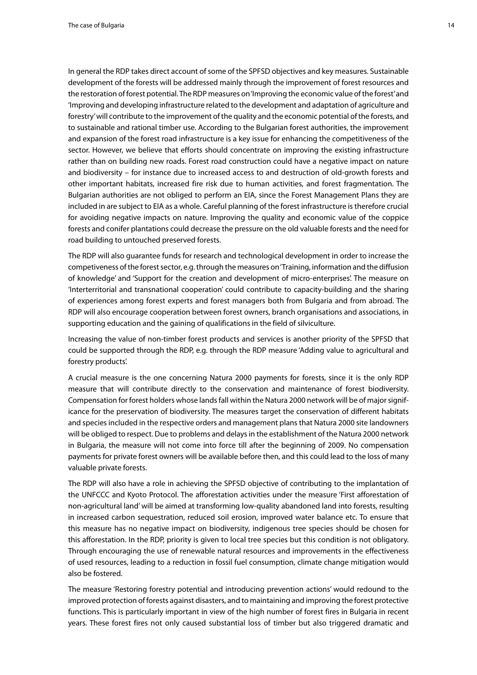In general the RDP takes direct account of some of the SPFSD objectives and key measures. Sustainable development of the forests will be addressed mainly through the improvement of forest resources and the restoration of forest potential. The RDP measures on 'Improving the economic value of the forest' and 'Improving and developing infrastructure related to the development and adaptation of agriculture and forestry' will contribute to the improvement of the quality and the economic potential of the forests, and to sustainable and rational timber use. According to the Bulgarian forest authorities, the improvement and expansion of the forest road infrastructure is a key issue for enhancing the competitiveness of the sector. However, we believe that efforts should concentrate on improving the existing infrastructure rather than on building new roads. Forest road construction could have a negative impact on nature and biodiversity – for instance due to increased access to and destruction of old-growth forests and other important habitats, increased fire risk due to human activities, and forest fragmentation. The Bulgarian authorities are not obliged to perform an EIA, since the Forest Management Plans they are included in are subject to EIA as a whole. Careful planning of the forest infrastructure is therefore crucial for avoiding negative impacts on nature. Improving the quality and economic value of the coppice forests and conifer plantations could decrease the pressure on the old valuable forests and the need for road building to untouched preserved forests.

The RDP will also guarantee funds for research and technological development in order to increase the competiveness of the forest sector, e.g. through the measures on 'Training, information and the diffusion of knowledge' and 'Support for the creation and development of micro-enterprises'. The measure on 'Interterritorial and transnational cooperation' could contribute to capacity-building and the sharing of experiences among forest experts and forest managers both from Bulgaria and from abroad. The RDP will also encourage cooperation between forest owners, branch organisations and associations, in supporting education and the gaining of qualifications in the field of silviculture.

Increasing the value of non-timber forest products and services is another priority of the SPFSD that could be supported through the RDP, e.g. through the RDP measure 'Adding value to agricultural and forestry products'.

A crucial measure is the one concerning Natura 2000 payments for forests, since it is the only RDP measure that will contribute directly to the conservation and maintenance of forest biodiversity. Compensation for forest holders whose lands fall within the Natura 2000 network will be of major significance for the preservation of biodiversity. The measures target the conservation of different habitats and species included in the respective orders and management plans that Natura 2000 site landowners will be obliged to respect. Due to problems and delays in the establishment of the Natura 2000 network in Bulgaria, the measure will not come into force till after the beginning of 2009. No compensation payments for private forest owners will be available before then, and this could lead to the loss of many valuable private forests.

The RDP will also have a role in achieving the SPFSD objective of contributing to the implantation of the UNFCCC and Kyoto Protocol. The afforestation activities under the measure 'First afforestation of non-agricultural land' will be aimed at transforming low-quality abandoned land into forests, resulting in increased carbon sequestration, reduced soil erosion, improved water balance etc. To ensure that this measure has no negative impact on biodiversity, indigenous tree species should be chosen for this afforestation. In the RDP, priority is given to local tree species but this condition is not obligatory. Through encouraging the use of renewable natural resources and improvements in the effectiveness of used resources, leading to a reduction in fossil fuel consumption, climate change mitigation would also be fostered.

The measure 'Restoring forestry potential and introducing prevention actions' would redound to the improved protection of forests against disasters, and to maintaining and improving the forest protective functions. This is particularly important in view of the high number of forest fires in Bulgaria in recent years. These forest fires not only caused substantial loss of timber but also triggered dramatic and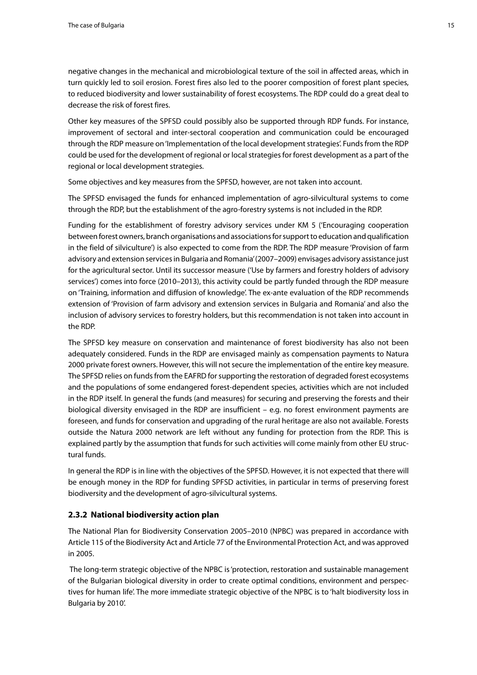<span id="page-14-0"></span>negative changes in the mechanical and microbiological texture of the soil in affected areas, which in turn quickly led to soil erosion. Forest fires also led to the poorer composition of forest plant species, to reduced biodiversity and lower sustainability of forest ecosystems. The RDP could do a great deal to decrease the risk of forest fires.

Other key measures of the SPFSD could possibly also be supported through RDP funds. For instance, improvement of sectoral and inter-sectoral cooperation and communication could be encouraged through the RDP measure on 'Implementation of the local development strategies'. Funds from the RDP could be used for the development of regional or local strategies for forest development as a part of the regional or local development strategies.

Some objectives and key measures from the SPFSD, however, are not taken into account.

The SPFSD envisaged the funds for enhanced implementation of agro-silvicultural systems to come through the RDP, but the establishment of the agro-forestry systems is not included in the RDP.

Funding for the establishment of forestry advisory services under KM 5 ('Encouraging cooperation between forest owners, branch organisations and associations for support to education and qualification in the field of silviculture') is also expected to come from the RDP. The RDP measure 'Provision of farm advisory and extension services in Bulgaria and Romania' (2007–2009) envisages advisory assistance just for the agricultural sector. Until its successor measure ('Use by farmers and forestry holders of advisory services') comes into force (2010–2013), this activity could be partly funded through the RDP measure on 'Training, information and diffusion of knowledge'. The ex-ante evaluation of the RDP recommends extension of 'Provision of farm advisory and extension services in Bulgaria and Romania' and also the inclusion of advisory services to forestry holders, but this recommendation is not taken into account in the RDP.

The SPFSD key measure on conservation and maintenance of forest biodiversity has also not been adequately considered. Funds in the RDP are envisaged mainly as compensation payments to Natura 2000 private forest owners. However, this will not secure the implementation of the entire key measure. The SPFSD relies on funds from the EAFRD for supporting the restoration of degraded forest ecosystems and the populations of some endangered forest-dependent species, activities which are not included in the RDP itself. In general the funds (and measures) for securing and preserving the forests and their biological diversity envisaged in the RDP are insufficient – e.g. no forest environment payments are foreseen, and funds for conservation and upgrading of the rural heritage are also not available. Forests outside the Natura 2000 network are left without any funding for protection from the RDP. This is explained partly by the assumption that funds for such activities will come mainly from other EU structural funds.

In general the RDP is in line with the objectives of the SPFSD. However, it is not expected that there will be enough money in the RDP for funding SPFSD activities, in particular in terms of preserving forest biodiversity and the development of agro-silvicultural systems.

#### **2.3.2 National biodiversity action plan**

The National Plan for Biodiversity Conservation 2005–2010 (NPBC) was prepared in accordance with Article 115 of the Biodiversity Act and Article 77 of the Environmental Protection Act, and was approved in 2005.

 The long-term strategic objective of the NPBC is 'protection, restoration and sustainable management of the Bulgarian biological diversity in order to create optimal conditions, environment and perspectives for human life'. The more immediate strategic objective of the NPBC is to 'halt biodiversity loss in Bulgaria by 2010'.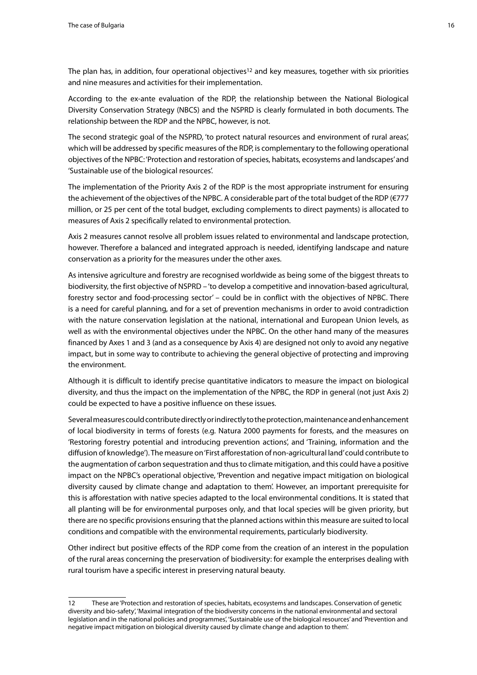The plan has, in addition, four operational objectives<sup>12</sup> and key measures, together with six priorities and nine measures and activities for their implementation.

According to the ex-ante evaluation of the RDP, the relationship between the National Biological Diversity Conservation Strategy (NBCS) and the NSPRD is clearly formulated in both documents. The relationship between the RDP and the NPBC, however, is not.

The second strategic goal of the NSPRD, 'to protect natural resources and environment of rural areas', which will be addressed by specific measures of the RDP, is complementary to the following operational objectives of the NPBC: 'Protection and restoration of species, habitats, ecosystems and landscapes' and 'Sustainable use of the biological resources'.

The implementation of the Priority Axis 2 of the RDP is the most appropriate instrument for ensuring the achievement of the objectives of the NPBC. A considerable part of the total budget of the RDP (€777 million, or 25 per cent of the total budget, excluding complements to direct payments) is allocated to measures of Axis 2 specifically related to environmental protection.

Axis 2 measures cannot resolve all problem issues related to environmental and landscape protection, however. Therefore a balanced and integrated approach is needed, identifying landscape and nature conservation as a priority for the measures under the other axes.

As intensive agriculture and forestry are recognised worldwide as being some of the biggest threats to biodiversity, the first objective of NSPRD – 'to develop a competitive and innovation-based agricultural, forestry sector and food-processing sector' – could be in conflict with the objectives of NPBC. There is a need for careful planning, and for a set of prevention mechanisms in order to avoid contradiction with the nature conservation legislation at the national, international and European Union levels, as well as with the environmental objectives under the NPBC. On the other hand many of the measures financed by Axes 1 and 3 (and as a consequence by Axis 4) are designed not only to avoid any negative impact, but in some way to contribute to achieving the general objective of protecting and improving the environment.

Although it is difficult to identify precise quantitative indicators to measure the impact on biological diversity, and thus the impact on the implementation of the NPBC, the RDP in general (not just Axis 2) could be expected to have a positive influence on these issues.

Several measures could contribute directly or indirectly to the protection, maintenance and enhancement of local biodiversity in terms of forests (e.g. Natura 2000 payments for forests, and the measures on 'Restoring forestry potential and introducing prevention actions', and 'Training, information and the diffusion of knowledge'). The measure on 'First afforestation of non-agricultural land' could contribute to the augmentation of carbon sequestration and thus to climate mitigation, and this could have a positive impact on the NPBC's operational objective, 'Prevention and negative impact mitigation on biological diversity caused by climate change and adaptation to them'. However, an important prerequisite for this is afforestation with native species adapted to the local environmental conditions. It is stated that all planting will be for environmental purposes only, and that local species will be given priority, but there are no specific provisions ensuring that the planned actions within this measure are suited to local conditions and compatible with the environmental requirements, particularly biodiversity.

Other indirect but positive effects of the RDP come from the creation of an interest in the population of the rural areas concerning the preservation of biodiversity: for example the enterprises dealing with rural tourism have a specific interest in preserving natural beauty.

<sup>12</sup> These are 'Protection and restoration of species, habitats, ecosystems and landscapes. Conservation of genetic diversity and bio-safety', 'Maximal integration of the biodiversity concerns in the national environmental and sectoral legislation and in the national policies and programmes', 'Sustainable use of the biological resources' and 'Prevention and negative impact mitigation on biological diversity caused by climate change and adaption to them'.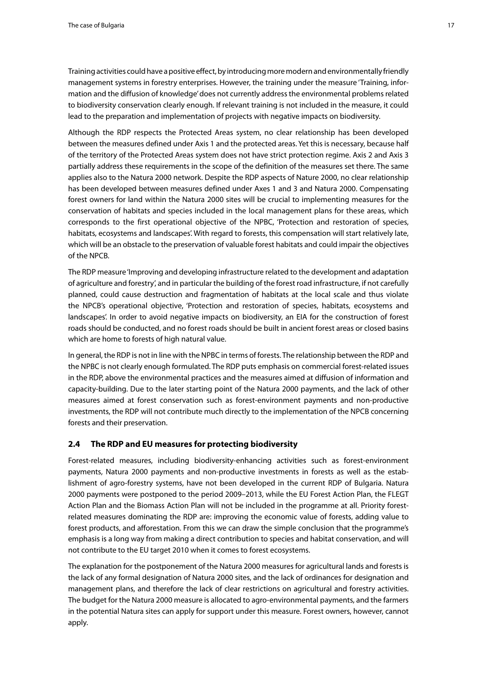<span id="page-16-0"></span>Training activities could have a positive effect, by introducing more modern and environmentally friendly management systems in forestry enterprises. However, the training under the measure 'Training, information and the diffusion of knowledge' does not currently address the environmental problems related to biodiversity conservation clearly enough. If relevant training is not included in the measure, it could lead to the preparation and implementation of projects with negative impacts on biodiversity.

Although the RDP respects the Protected Areas system, no clear relationship has been developed between the measures defined under Axis 1 and the protected areas. Yet this is necessary, because half of the territory of the Protected Areas system does not have strict protection regime. Axis 2 and Axis 3 partially address these requirements in the scope of the definition of the measures set there. The same applies also to the Natura 2000 network. Despite the RDP aspects of Nature 2000, no clear relationship has been developed between measures defined under Axes 1 and 3 and Natura 2000. Compensating forest owners for land within the Natura 2000 sites will be crucial to implementing measures for the conservation of habitats and species included in the local management plans for these areas, which corresponds to the first operational objective of the NPBC, 'Protection and restoration of species, habitats, ecosystems and landscapes'. With regard to forests, this compensation will start relatively late, which will be an obstacle to the preservation of valuable forest habitats and could impair the objectives of the NPCB.

The RDP measure 'Improving and developing infrastructure related to the development and adaptation of agriculture and forestry', and in particular the building of the forest road infrastructure, if not carefully planned, could cause destruction and fragmentation of habitats at the local scale and thus violate the NPCB's operational objective, 'Protection and restoration of species, habitats, ecosystems and landscapes'. In order to avoid negative impacts on biodiversity, an EIA for the construction of forest roads should be conducted, and no forest roads should be built in ancient forest areas or closed basins which are home to forests of high natural value.

In general, the RDP is not in line with the NPBC in terms of forests. The relationship between the RDP and the NPBC is not clearly enough formulated. The RDP puts emphasis on commercial forest-related issues in the RDP, above the environmental practices and the measures aimed at diffusion of information and capacity-building. Due to the later starting point of the Natura 2000 payments, and the lack of other measures aimed at forest conservation such as forest-environment payments and non-productive investments, the RDP will not contribute much directly to the implementation of the NPCB concerning forests and their preservation.

## **2.4 The RDP and EU measures for protecting biodiversity**

Forest-related measures, including biodiversity-enhancing activities such as forest-environment payments, Natura 2000 payments and non-productive investments in forests as well as the establishment of agro-forestry systems, have not been developed in the current RDP of Bulgaria. Natura 2000 payments were postponed to the period 2009–2013, while the EU Forest Action Plan, the FLEGT Action Plan and the Biomass Action Plan will not be included in the programme at all. Priority forestrelated measures dominating the RDP are: improving the economic value of forests, adding value to forest products, and afforestation. From this we can draw the simple conclusion that the programme's emphasis is a long way from making a direct contribution to species and habitat conservation, and will not contribute to the EU target 2010 when it comes to forest ecosystems.

The explanation for the postponement of the Natura 2000 measures for agricultural lands and forests is the lack of any formal designation of Natura 2000 sites, and the lack of ordinances for designation and management plans, and therefore the lack of clear restrictions on agricultural and forestry activities. The budget for the Natura 2000 measure is allocated to agro-environmental payments, and the farmers in the potential Natura sites can apply for support under this measure. Forest owners, however, cannot apply.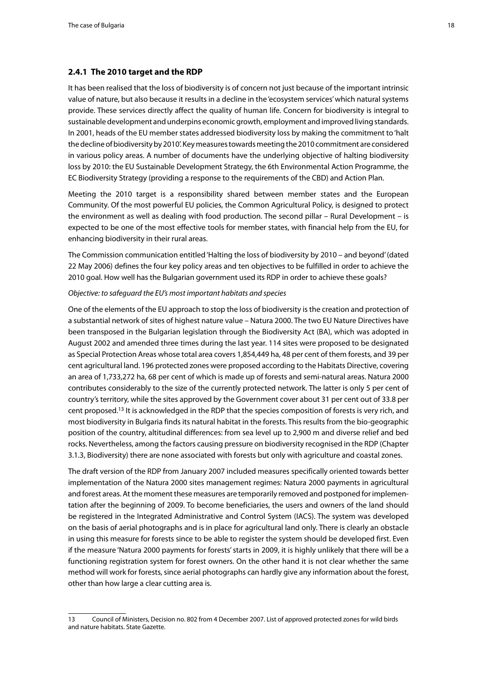#### <span id="page-17-0"></span>**2.4.1 The 2010 target and the RDP**

It has been realised that the loss of biodiversity is of concern not just because of the important intrinsic value of nature, but also because it results in a decline in the 'ecosystem services' which natural systems provide. These services directly affect the quality of human life. Concern for biodiversity is integral to sustainable development and underpins economic growth, employment and improved living standards. In 2001, heads of the EU member states addressed biodiversity loss by making the commitment to 'halt the decline of biodiversity by 2010'. Key measures towards meeting the 2010 commitment are considered in various policy areas. A number of documents have the underlying objective of halting biodiversity loss by 2010: the EU Sustainable Development Strategy, the 6th Environmental Action Programme, the EC Biodiversity Strategy (providing a response to the requirements of the CBD) and Action Plan.

Meeting the 2010 target is a responsibility shared between member states and the European Community. Of the most powerful EU policies, the Common Agricultural Policy, is designed to protect the environment as well as dealing with food production. The second pillar – Rural Development – is expected to be one of the most effective tools for member states, with financial help from the EU, for enhancing biodiversity in their rural areas.

The Commission communication entitled 'Halting the loss of biodiversity by 2010 – and beyond' (dated 22 May 2006) defines the four key policy areas and ten objectives to be fulfilled in order to achieve the 2010 goal. How well has the Bulgarian government used its RDP in order to achieve these goals?

#### *Objective: to safeguard the EU's most important habitats and species*

One of the elements of the EU approach to stop the loss of biodiversity is the creation and protection of a substantial network of sites of highest nature value – Natura 2000. The two EU Nature Directives have been transposed in the Bulgarian legislation through the Biodiversity Act (BA), which was adopted in August 2002 and amended three times during the last year. 114 sites were proposed to be designated as Special Protection Areas whose total area covers 1,854,449 ha, 48 per cent of them forests, and 39 per cent agricultural land. 196 protected zones were proposed according to the Habitats Directive, covering an area of 1,733,272 ha, 68 per cent of which is made up of forests and semi-natural areas. Natura 2000 contributes considerably to the size of the currently protected network. The latter is only 5 per cent of country's territory, while the sites approved by the Government cover about 31 per cent out of 33.8 per cent proposed.13 It is acknowledged in the RDP that the species composition of forests is very rich, and most biodiversity in Bulgaria finds its natural habitat in the forests. This results from the bio-geographic position of the country, altitudinal differences: from sea level up to 2,900 m and diverse relief and bed rocks. Nevertheless, among the factors causing pressure on biodiversity recognised in the RDP (Chapter 3.1.3, Biodiversity) there are none associated with forests but only with agriculture and coastal zones.

The draft version of the RDP from January 2007 included measures specifically oriented towards better implementation of the Natura 2000 sites management regimes: Natura 2000 payments in agricultural and forest areas. At the moment these measures are temporarily removed and postponed for implementation after the beginning of 2009. To become beneficiaries, the users and owners of the land should be registered in the Integrated Administrative and Control System (IACS). The system was developed on the basis of aerial photographs and is in place for agricultural land only. There is clearly an obstacle in using this measure for forests since to be able to register the system should be developed first. Even if the measure 'Natura 2000 payments for forests' starts in 2009, it is highly unlikely that there will be a functioning registration system for forest owners. On the other hand it is not clear whether the same method will work for forests, since aerial photographs can hardly give any information about the forest, other than how large a clear cutting area is.

<sup>13</sup> Council of Ministers, Decision no. 802 from 4 December 2007. List of approved protected zones for wild birds and nature habitats. State Gazette.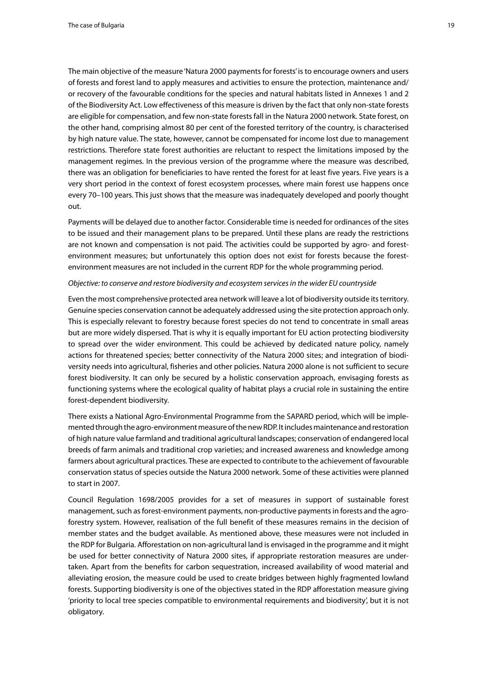The main objective of the measure 'Natura 2000 payments for forests' is to encourage owners and users of forests and forest land to apply measures and activities to ensure the protection, maintenance and/ or recovery of the favourable conditions for the species and natural habitats listed in Annexes 1 and 2 of the Biodiversity Act. Low effectiveness of this measure is driven by the fact that only non-state forests are eligible for compensation, and few non-state forests fall in the Natura 2000 network. State forest, on the other hand, comprising almost 80 per cent of the forested territory of the country, is characterised by high nature value. The state, however, cannot be compensated for income lost due to management restrictions. Therefore state forest authorities are reluctant to respect the limitations imposed by the management regimes. In the previous version of the programme where the measure was described, there was an obligation for beneficiaries to have rented the forest for at least five years. Five years is a very short period in the context of forest ecosystem processes, where main forest use happens once every 70–100 years. This just shows that the measure was inadequately developed and poorly thought out.

Payments will be delayed due to another factor. Considerable time is needed for ordinances of the sites to be issued and their management plans to be prepared. Until these plans are ready the restrictions are not known and compensation is not paid. The activities could be supported by agro- and forestenvironment measures; but unfortunately this option does not exist for forests because the forestenvironment measures are not included in the current RDP for the whole programming period.

#### *Objective: to conserve and restore biodiversity and ecosystem services in the wider EU countryside*

Even the most comprehensive protected area network will leave a lot of biodiversity outside its territory. Genuine species conservation cannot be adequately addressed using the site protection approach only. This is especially relevant to forestry because forest species do not tend to concentrate in small areas but are more widely dispersed. That is why it is equally important for EU action protecting biodiversity to spread over the wider environment. This could be achieved by dedicated nature policy, namely actions for threatened species; better connectivity of the Natura 2000 sites; and integration of biodiversity needs into agricultural, fisheries and other policies. Natura 2000 alone is not sufficient to secure forest biodiversity. It can only be secured by a holistic conservation approach, envisaging forests as functioning systems where the ecological quality of habitat plays a crucial role in sustaining the entire forest-dependent biodiversity.

There exists a National Agro-Environmental Programme from the SAPARD period, which will be implemented through the agro-environment measure of the new RDP. It includes maintenance and restoration of high nature value farmland and traditional agricultural landscapes; conservation of endangered local breeds of farm animals and traditional crop varieties; and increased awareness and knowledge among farmers about agricultural practices. These are expected to contribute to the achievement of favourable conservation status of species outside the Natura 2000 network. Some of these activities were planned to start in 2007.

Council Regulation 1698/2005 provides for a set of measures in support of sustainable forest management, such as forest-environment payments, non-productive payments in forests and the agroforestry system. However, realisation of the full benefit of these measures remains in the decision of member states and the budget available. As mentioned above, these measures were not included in the RDP for Bulgaria. Afforestation on non-agricultural land is envisaged in the programme and it might be used for better connectivity of Natura 2000 sites, if appropriate restoration measures are undertaken. Apart from the benefits for carbon sequestration, increased availability of wood material and alleviating erosion, the measure could be used to create bridges between highly fragmented lowland forests. Supporting biodiversity is one of the objectives stated in the RDP afforestation measure giving 'priority to local tree species compatible to environmental requirements and biodiversity', but it is not obligatory.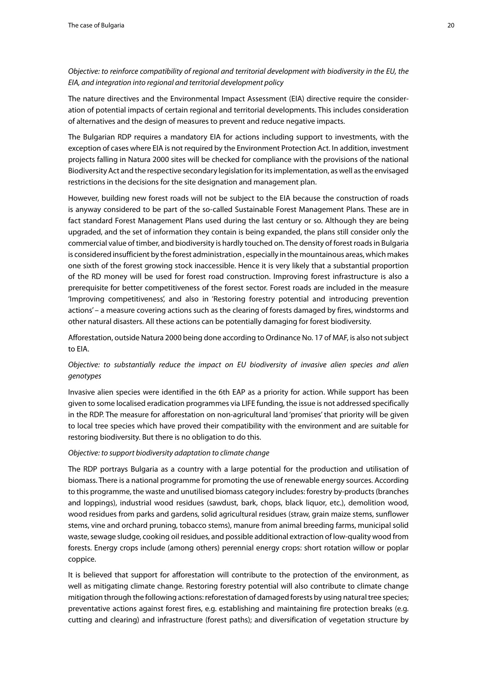## *Objective: to reinforce compatibility of regional and territorial development with biodiversity in the EU, the EIA, and integration into regional and territorial development policy*

The nature directives and the Environmental Impact Assessment (EIA) directive require the consideration of potential impacts of certain regional and territorial developments. This includes consideration of alternatives and the design of measures to prevent and reduce negative impacts.

The Bulgarian RDP requires a mandatory EIA for actions including support to investments, with the exception of cases where EIA is not required by the Environment Protection Act. In addition, investment projects falling in Natura 2000 sites will be checked for compliance with the provisions of the national Biodiversity Act and the respective secondary legislation for its implementation, as well as the envisaged restrictions in the decisions for the site designation and management plan.

However, building new forest roads will not be subject to the EIA because the construction of roads is anyway considered to be part of the so-called Sustainable Forest Management Plans. These are in fact standard Forest Management Plans used during the last century or so. Although they are being upgraded, and the set of information they contain is being expanded, the plans still consider only the commercial value of timber, and biodiversity is hardly touched on. The density of forest roads in Bulgaria is considered insufficient by the forest administration , especially in the mountainous areas, which makes one sixth of the forest growing stock inaccessible. Hence it is very likely that a substantial proportion of the RD money will be used for forest road construction. Improving forest infrastructure is also a prerequisite for better competitiveness of the forest sector. Forest roads are included in the measure 'Improving competitiveness', and also in 'Restoring forestry potential and introducing prevention actions' – a measure covering actions such as the clearing of forests damaged by fires, windstorms and other natural disasters. All these actions can be potentially damaging for forest biodiversity.

Afforestation, outside Natura 2000 being done according to Ordinance No. 17 of MAF, is also not subject to EIA.

## *Objective: to substantially reduce the impact on EU biodiversity of invasive alien species and alien genotypes*

Invasive alien species were identified in the 6th EAP as a priority for action. While support has been given to some localised eradication programmes via LIFE funding, the issue is not addressed specifically in the RDP. The measure for afforestation on non-agricultural land 'promises' that priority will be given to local tree species which have proved their compatibility with the environment and are suitable for restoring biodiversity. But there is no obligation to do this.

## *Objective: to support biodiversity adaptation to climate change*

The RDP portrays Bulgaria as a country with a large potential for the production and utilisation of biomass. There is a national programme for promoting the use of renewable energy sources. According to this programme, the waste and unutilised biomass category includes: forestry by-products (branches and loppings), industrial wood residues (sawdust, bark, chops, black liquor, etc.), demolition wood, wood residues from parks and gardens, solid agricultural residues (straw, grain maize stems, sunflower stems, vine and orchard pruning, tobacco stems), manure from animal breeding farms, municipal solid waste, sewage sludge, cooking oil residues, and possible additional extraction of low-quality wood from forests. Energy crops include (among others) perennial energy crops: short rotation willow or poplar coppice.

It is believed that support for afforestation will contribute to the protection of the environment, as well as mitigating climate change. Restoring forestry potential will also contribute to climate change mitigation through the following actions: reforestation of damaged forests by using natural tree species; preventative actions against forest fires, e.g. establishing and maintaining fire protection breaks (e.g. cutting and clearing) and infrastructure (forest paths); and diversification of vegetation structure by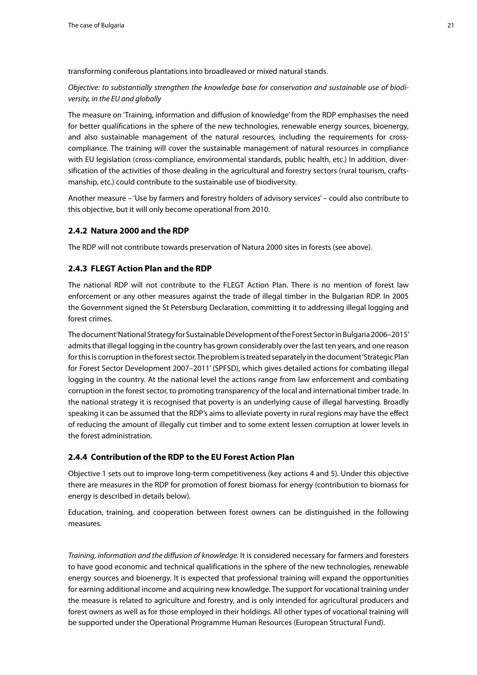<span id="page-20-0"></span>transforming coniferous plantations into broadleaved or mixed natural stands.

*Objective: to substantially strengthen the knowledge base for conservation and sustainable use of biodiversity, in the EU and globally*

The measure on 'Training, information and diffusion of knowledge' from the RDP emphasises the need for better qualifications in the sphere of the new technologies, renewable energy sources, bioenergy, and also sustainable management of the natural resources, including the requirements for crosscompliance. The training will cover the sustainable management of natural resources in compliance with EU legislation (cross-compliance, environmental standards, public health, etc.) In addition, diversification of the activities of those dealing in the agricultural and forestry sectors (rural tourism, craftsmanship, etc.) could contribute to the sustainable use of biodiversity.

Another measure – 'Use by farmers and forestry holders of advisory services' – could also contribute to this objective, but it will only become operational from 2010.

#### **2.4.2 Natura 2000 and the RDP**

The RDP will not contribute towards preservation of Natura 2000 sites in forests (see above).

## **2.4.3 FLEGT Action Plan and the RDP**

The national RDP will not contribute to the FLEGT Action Plan. There is no mention of forest law enforcement or any other measures against the trade of illegal timber in the Bulgarian RDP. In 2005 the Government signed the St Petersburg Declaration, committing it to addressing illegal logging and forest crimes.

The document 'National Strategy for Sustainable Development of the Forest Sector in Bulgaria 2006–2015' admits that illegal logging in the country has grown considerably over the last ten years, and one reason for this is corruption in the forest sector. The problem is treated separately in the document 'Strategic Plan for Forest Sector Development 2007–2011' (SPFSD), which gives detailed actions for combating illegal logging in the country. At the national level the actions range from law enforcement and combating corruption in the forest sector, to promoting transparency of the local and international timber trade. In the national strategy it is recognised that poverty is an underlying cause of illegal harvesting. Broadly speaking it can be assumed that the RDP's aims to alleviate poverty in rural regions may have the effect of reducing the amount of illegally cut timber and to some extent lessen corruption at lower levels in the forest administration.

#### **2.4.4 Contribution of the RDP to the EU Forest Action Plan**

Objective 1 sets out to improve long-term competitiveness (key actions 4 and 5). Under this objective there are measures in the RDP for promotion of forest biomass for energy (contribution to biomass for energy is described in details below).

Education, training, and cooperation between forest owners can be distinguished in the following measures.

*Training, information and the diffusion of knowledge.* It is considered necessary for farmers and foresters to have good economic and technical qualifications in the sphere of the new technologies, renewable energy sources and bioenergy. It is expected that professional training will expand the opportunities for earning additional income and acquiring new knowledge. The support for vocational training under the measure is related to agriculture and forestry, and is only intended for agricultural producers and forest owners as well as for those employed in their holdings. All other types of vocational training will be supported under the Operational Programme Human Resources (European Structural Fund).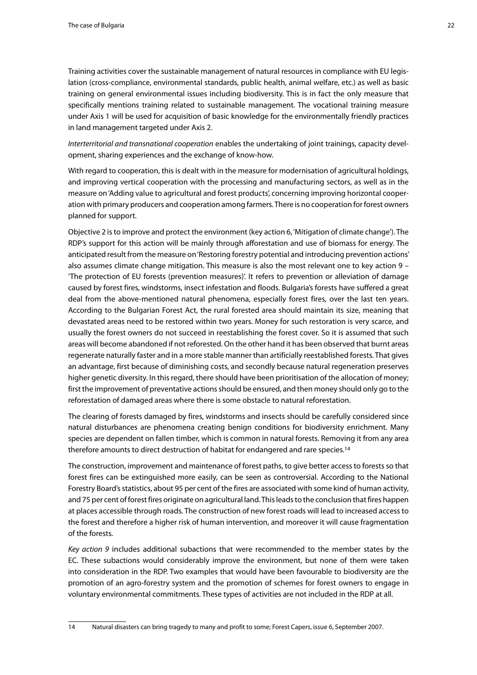Training activities cover the sustainable management of natural resources in compliance with EU legislation (cross-compliance, environmental standards, public health, animal welfare, etc.) as well as basic training on general environmental issues including biodiversity. This is in fact the only measure that specifically mentions training related to sustainable management. The vocational training measure under Axis 1 will be used for acquisition of basic knowledge for the environmentally friendly practices in land management targeted under Axis 2.

*Interterritorial and transnational cooperation* enables the undertaking of joint trainings, capacity development, sharing experiences and the exchange of know-how.

With regard to cooperation, this is dealt with in the measure for modernisation of agricultural holdings, and improving vertical cooperation with the processing and manufacturing sectors, as well as in the measure on 'Adding value to agricultural and forest products', concerning improving horizontal cooperation with primary producers and cooperation among farmers. There is no cooperation for forest owners planned for support.

Objective 2 is to improve and protect the environment (key action 6, 'Mitigation of climate change'). The RDP's support for this action will be mainly through afforestation and use of biomass for energy. The anticipated result from the measure on 'Restoring forestry potential and introducing prevention actions' also assumes climate change mitigation. This measure is also the most relevant one to key action 9 – 'The protection of EU forests (prevention measures)'. It refers to prevention or alleviation of damage caused by forest fires, windstorms, insect infestation and floods. Bulgaria's forests have suffered a great deal from the above-mentioned natural phenomena, especially forest fires, over the last ten years. According to the Bulgarian Forest Act, the rural forested area should maintain its size, meaning that devastated areas need to be restored within two years. Money for such restoration is very scarce, and usually the forest owners do not succeed in reestablishing the forest cover. So it is assumed that such areas will become abandoned if not reforested. On the other hand it has been observed that burnt areas regenerate naturally faster and in a more stable manner than artificially reestablished forests. That gives an advantage, first because of diminishing costs, and secondly because natural regeneration preserves higher genetic diversity. In this regard, there should have been prioritisation of the allocation of money; first the improvement of preventative actions should be ensured, and then money should only go to the reforestation of damaged areas where there is some obstacle to natural reforestation.

The clearing of forests damaged by fires, windstorms and insects should be carefully considered since natural disturbances are phenomena creating benign conditions for biodiversity enrichment. Many species are dependent on fallen timber, which is common in natural forests. Removing it from any area therefore amounts to direct destruction of habitat for endangered and rare species.14

The construction, improvement and maintenance of forest paths, to give better access to forests so that forest fires can be extinguished more easily, can be seen as controversial. According to the National Forestry Board's statistics, about 95 per cent of the fires are associated with some kind of human activity, and 75 per cent of forest fires originate on agricultural land. This leads to the conclusion that fires happen at places accessible through roads. The construction of new forest roads will lead to increased access to the forest and therefore a higher risk of human intervention, and moreover it will cause fragmentation of the forests.

*Key action 9* includes additional subactions that were recommended to the member states by the EC. These subactions would considerably improve the environment, but none of them were taken into consideration in the RDP. Two examples that would have been favourable to biodiversity are the promotion of an agro-forestry system and the promotion of schemes for forest owners to engage in voluntary environmental commitments. These types of activities are not included in the RDP at all.

<sup>14</sup> Natural disasters can bring tragedy to many and profit to some; Forest Capers, issue 6, September 2007.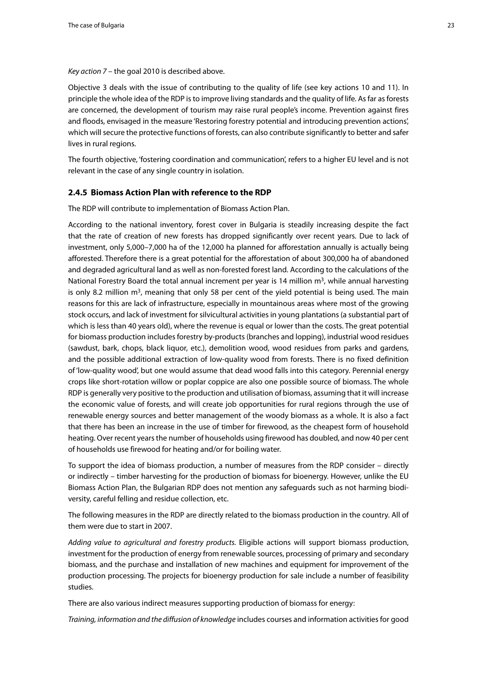<span id="page-22-0"></span>*Key action 7* – the goal 2010 is described above.

Objective 3 deals with the issue of contributing to the quality of life (see key actions 10 and 11). In principle the whole idea of the RDP is to improve living standards and the quality of life. As far as forests are concerned, the development of tourism may raise rural people's income. Prevention against fires and floods, envisaged in the measure 'Restoring forestry potential and introducing prevention actions', which will secure the protective functions of forests, can also contribute significantly to better and safer lives in rural regions.

The fourth objective, 'fostering coordination and communication', refers to a higher EU level and is not relevant in the case of any single country in isolation.

#### **2.4.5 Biomass Action Plan with reference to the RDP**

The RDP will contribute to implementation of Biomass Action Plan.

According to the national inventory, forest cover in Bulgaria is steadily increasing despite the fact that the rate of creation of new forests has dropped significantly over recent years. Due to lack of investment, only 5,000–7,000 ha of the 12,000 ha planned for afforestation annually is actually being afforested. Therefore there is a great potential for the afforestation of about 300,000 ha of abandoned and degraded agricultural land as well as non-forested forest land. According to the calculations of the National Forestry Board the total annual increment per year is 14 million  $m<sup>3</sup>$ , while annual harvesting is only 8.2 million  $m<sup>3</sup>$ , meaning that only 58 per cent of the yield potential is being used. The main reasons for this are lack of infrastructure, especially in mountainous areas where most of the growing stock occurs, and lack of investment for silvicultural activities in young plantations (a substantial part of which is less than 40 years old), where the revenue is equal or lower than the costs. The great potential for biomass production includes forestry by-products (branches and lopping), industrial wood residues (sawdust, bark, chops, black liquor, etc.), demolition wood, wood residues from parks and gardens, and the possible additional extraction of low-quality wood from forests. There is no fixed definition of 'low-quality wood', but one would assume that dead wood falls into this category. Perennial energy crops like short-rotation willow or poplar coppice are also one possible source of biomass. The whole RDP is generally very positive to the production and utilisation of biomass, assuming that it will increase the economic value of forests, and will create job opportunities for rural regions through the use of renewable energy sources and better management of the woody biomass as a whole. It is also a fact that there has been an increase in the use of timber for firewood, as the cheapest form of household heating. Over recent years the number of households using firewood has doubled, and now 40 per cent of households use firewood for heating and/or for boiling water.

To support the idea of biomass production, a number of measures from the RDP consider – directly or indirectly – timber harvesting for the production of biomass for bioenergy. However, unlike the EU Biomass Action Plan, the Bulgarian RDP does not mention any safeguards such as not harming biodiversity, careful felling and residue collection, etc.

The following measures in the RDP are directly related to the biomass production in the country. All of them were due to start in 2007.

*Adding value to agricultural and forestry products.* Eligible actions will support biomass production, investment for the production of energy from renewable sources, processing of primary and secondary biomass, and the purchase and installation of new machines and equipment for improvement of the production processing. The projects for bioenergy production for sale include a number of feasibility studies.

There are also various indirect measures supporting production of biomass for energy:

*Training, information and the diffusion of knowledge* includes courses and information activities for good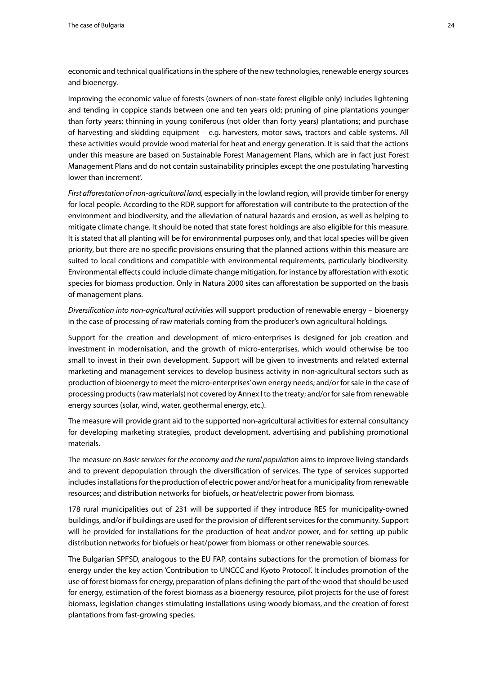economic and technical qualifications in the sphere of the new technologies, renewable energy sources and bioenergy.

Improving the economic value of forests (owners of non-state forest eligible only) includes lightening and tending in coppice stands between one and ten years old; pruning of pine plantations younger than forty years; thinning in young coniferous (not older than forty years) plantations; and purchase of harvesting and skidding equipment – e.g. harvesters, motor saws, tractors and cable systems. All these activities would provide wood material for heat and energy generation. It is said that the actions under this measure are based on Sustainable Forest Management Plans, which are in fact just Forest Management Plans and do not contain sustainability principles except the one postulating 'harvesting lower than increment'.

*First afforestation of non-agricultural land,* especially in the lowland region, will provide timber for energy for local people. According to the RDP, support for afforestation will contribute to the protection of the environment and biodiversity, and the alleviation of natural hazards and erosion, as well as helping to mitigate climate change. It should be noted that state forest holdings are also eligible for this measure. It is stated that all planting will be for environmental purposes only, and that local species will be given priority, but there are no specific provisions ensuring that the planned actions within this measure are suited to local conditions and compatible with environmental requirements, particularly biodiversity. Environmental effects could include climate change mitigation, for instance by afforestation with exotic species for biomass production. Only in Natura 2000 sites can afforestation be supported on the basis of management plans.

*Diversification into non-agricultural activities* will support production of renewable energy – bioenergy in the case of processing of raw materials coming from the producer's own agricultural holdings.

Support for the creation and development of micro-enterprises is designed for job creation and investment in modernisation, and the growth of micro-enterprises, which would otherwise be too small to invest in their own development. Support will be given to investments and related external marketing and management services to develop business activity in non-agricultural sectors such as production of bioenergy to meet the micro-enterprises' own energy needs; and/or for sale in the case of processing products (raw materials) not covered by Annex I to the treaty; and/or for sale from renewable energy sources (solar, wind, water, geothermal energy, etc.).

The measure will provide grant aid to the supported non-agricultural activities for external consultancy for developing marketing strategies, product development, advertising and publishing promotional materials.

The measure on *Basic services for the economy and the rural population* aims to improve living standards and to prevent depopulation through the diversification of services. The type of services supported includes installations for the production of electric power and/or heat for a municipality from renewable resources; and distribution networks for biofuels, or heat/electric power from biomass.

178 rural municipalities out of 231 will be supported if they introduce RES for municipality-owned buildings, and/or if buildings are used for the provision of different services for the community. Support will be provided for installations for the production of heat and/or power, and for setting up public distribution networks for biofuels or heat/power from biomass or other renewable sources.

The Bulgarian SPFSD, analogous to the EU FAP, contains subactions for the promotion of biomass for energy under the key action 'Contribution to UNCCC and Kyoto Protocol'. It includes promotion of the use of forest biomass for energy, preparation of plans defining the part of the wood that should be used for energy, estimation of the forest biomass as a bioenergy resource, pilot projects for the use of forest biomass, legislation changes stimulating installations using woody biomass, and the creation of forest plantations from fast-growing species.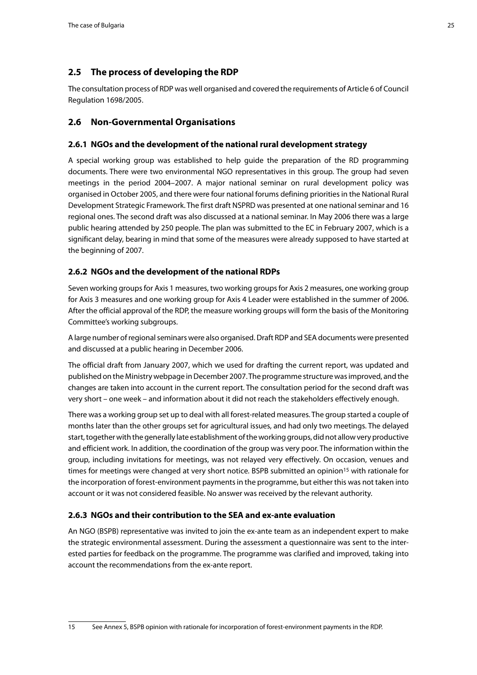## <span id="page-24-0"></span>**2.5 The process of developing the RDP**

The consultation process of RDP was well organised and covered the requirements of Article 6 of Council Regulation 1698/2005.

## **2.6 Non-Governmental Organisations**

#### **2.6.1 NGOs and the development of the national rural development strategy**

A special working group was established to help guide the preparation of the RD programming documents. There were two environmental NGO representatives in this group. The group had seven meetings in the period 2004–2007. A major national seminar on rural development policy was organised in October 2005, and there were four national forums defining priorities in the National Rural Development Strategic Framework. The first draft NSPRD was presented at one national seminar and 16 regional ones. The second draft was also discussed at a national seminar. In May 2006 there was a large public hearing attended by 250 people. The plan was submitted to the EC in February 2007, which is a significant delay, bearing in mind that some of the measures were already supposed to have started at the beginning of 2007.

#### **2.6.2 NGOs and the development of the national RDPs**

Seven working groups for Axis 1 measures, two working groups for Axis 2 measures, one working group for Axis 3 measures and one working group for Axis 4 Leader were established in the summer of 2006. After the official approval of the RDP, the measure working groups will form the basis of the Monitoring Committee's working subgroups.

A large number of regional seminars were also organised. Draft RDP and SEA documents were presented and discussed at a public hearing in December 2006.

The official draft from January 2007, which we used for drafting the current report, was updated and published on the Ministry webpage in December 2007. The programme structure was improved, and the changes are taken into account in the current report. The consultation period for the second draft was very short – one week – and information about it did not reach the stakeholders effectively enough.

There was a working group set up to deal with all forest-related measures. The group started a couple of months later than the other groups set for agricultural issues, and had only two meetings. The delayed start, together with the generally late establishment of the working groups, did not allow very productive and efficient work. In addition, the coordination of the group was very poor. The information within the group, including invitations for meetings, was not relayed very effectively. On occasion, venues and times for meetings were changed at very short notice. BSPB submitted an opinion<sup>15</sup> with rationale for the incorporation of forest-environment payments in the programme, but either this was not taken into account or it was not considered feasible. No answer was received by the relevant authority.

## **2.6.3 NGOs and their contribution to the SEA and ex-ante evaluation**

An NGO (BSPB) representative was invited to join the ex-ante team as an independent expert to make the strategic environmental assessment. During the assessment a questionnaire was sent to the interested parties for feedback on the programme. The programme was clarified and improved, taking into account the recommendations from the ex-ante report.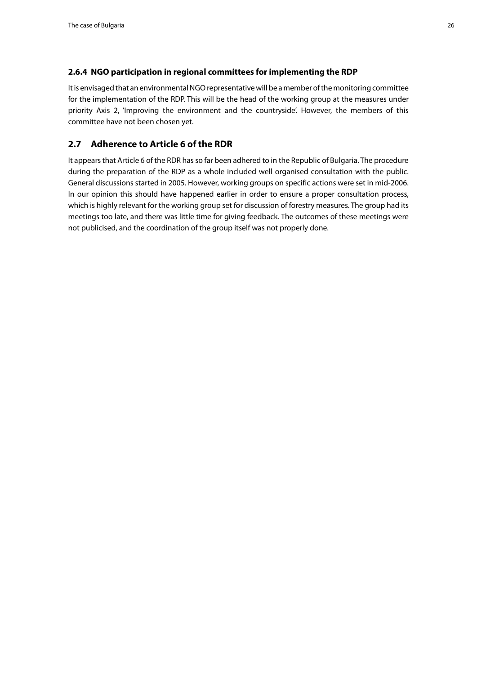#### <span id="page-25-0"></span>**2.6.4 NGO participation in regional committees for implementing the RDP**

It is envisaged that an environmental NGO representative will be a member of the monitoring committee for the implementation of the RDP. This will be the head of the working group at the measures under priority Axis 2, 'Improving the environment and the countryside'. However, the members of this committee have not been chosen yet.

## **2.7 Adherence to Article 6 of the RDR**

It appears that Article 6 of the RDR has so far been adhered to in the Republic of Bulgaria. The procedure during the preparation of the RDP as a whole included well organised consultation with the public. General discussions started in 2005. However, working groups on specific actions were set in mid-2006. In our opinion this should have happened earlier in order to ensure a proper consultation process, which is highly relevant for the working group set for discussion of forestry measures. The group had its meetings too late, and there was little time for giving feedback. The outcomes of these meetings were not publicised, and the coordination of the group itself was not properly done.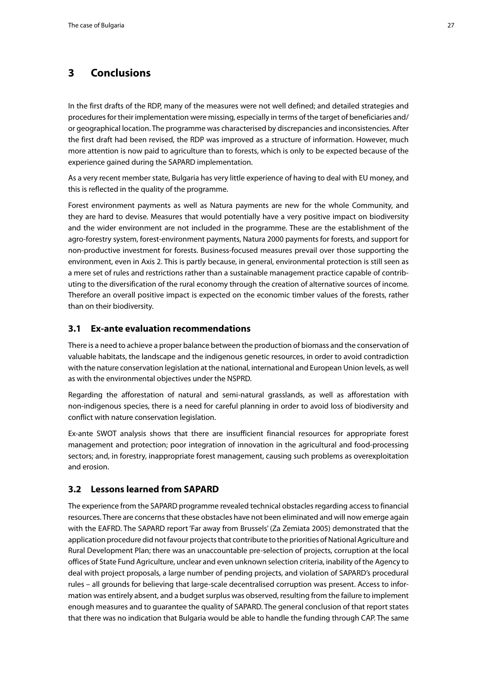## <span id="page-26-0"></span>**3 Conclusions**

In the first drafts of the RDP, many of the measures were not well defined; and detailed strategies and procedures for their implementation were missing, especially in terms of the target of beneficiaries and/ or geographical location. The programme was characterised by discrepancies and inconsistencies. After the first draft had been revised, the RDP was improved as a structure of information. However, much more attention is now paid to agriculture than to forests, which is only to be expected because of the experience gained during the SAPARD implementation.

As a very recent member state, Bulgaria has very little experience of having to deal with EU money, and this is reflected in the quality of the programme.

Forest environment payments as well as Natura payments are new for the whole Community, and they are hard to devise. Measures that would potentially have a very positive impact on biodiversity and the wider environment are not included in the programme. These are the establishment of the agro-forestry system, forest-environment payments, Natura 2000 payments for forests, and support for non-productive investment for forests. Business-focused measures prevail over those supporting the environment, even in Axis 2. This is partly because, in general, environmental protection is still seen as a mere set of rules and restrictions rather than a sustainable management practice capable of contributing to the diversification of the rural economy through the creation of alternative sources of income. Therefore an overall positive impact is expected on the economic timber values of the forests, rather than on their biodiversity.

## **3.1 Ex-ante evaluation recommendations**

There is a need to achieve a proper balance between the production of biomass and the conservation of valuable habitats, the landscape and the indigenous genetic resources, in order to avoid contradiction with the nature conservation legislation at the national, international and European Union levels, as well as with the environmental objectives under the NSPRD.

Regarding the afforestation of natural and semi-natural grasslands, as well as afforestation with non-indigenous species, there is a need for careful planning in order to avoid loss of biodiversity and conflict with nature conservation legislation.

Ex-ante SWOT analysis shows that there are insufficient financial resources for appropriate forest management and protection; poor integration of innovation in the agricultural and food-processing sectors; and, in forestry, inappropriate forest management, causing such problems as overexploitation and erosion.

## **3.2 Lessons learned from SAPARD**

The experience from the SAPARD programme revealed technical obstacles regarding access to financial resources. There are concerns that these obstacles have not been eliminated and will now emerge again with the EAFRD. The SAPARD report 'Far away from Brussels' (Za Zemiata 2005) demonstrated that the application procedure did not favour projects that contribute to the priorities of National Agriculture and Rural Development Plan; there was an unaccountable pre-selection of projects, corruption at the local offices of State Fund Agriculture, unclear and even unknown selection criteria, inability of the Agency to deal with project proposals, a large number of pending projects, and violation of SAPARD's procedural rules – all grounds for believing that large-scale decentralised corruption was present. Access to information was entirely absent, and a budget surplus was observed, resulting from the failure to implement enough measures and to guarantee the quality of SAPARD. The general conclusion of that report states that there was no indication that Bulgaria would be able to handle the funding through CAP. The same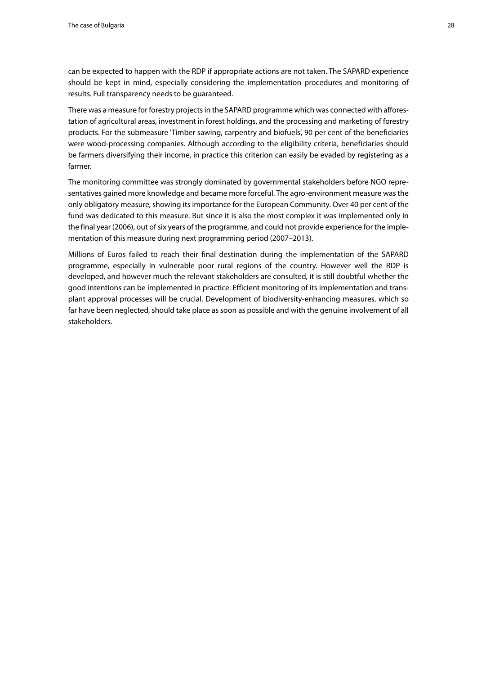can be expected to happen with the RDP if appropriate actions are not taken. The SAPARD experience should be kept in mind, especially considering the implementation procedures and monitoring of results. Full transparency needs to be guaranteed.

There was a measure for forestry projects in the SAPARD programme which was connected with afforestation of agricultural areas, investment in forest holdings, and the processing and marketing of forestry products. For the submeasure 'Timber sawing, carpentry and biofuels', 90 per cent of the beneficiaries were wood-processing companies. Although according to the eligibility criteria, beneficiaries should be farmers diversifying their income, in practice this criterion can easily be evaded by registering as a farmer.

The monitoring committee was strongly dominated by governmental stakeholders before NGO representatives gained more knowledge and became more forceful. The agro-environment measure was the only obligatory measure, showing its importance for the European Community. Over 40 per cent of the fund was dedicated to this measure. But since it is also the most complex it was implemented only in the final year (2006), out of six years of the programme, and could not provide experience for the implementation of this measure during next programming period (2007–2013).

Millions of Euros failed to reach their final destination during the implementation of the SAPARD programme, especially in vulnerable poor rural regions of the country. However well the RDP is developed, and however much the relevant stakeholders are consulted, it is still doubtful whether the good intentions can be implemented in practice. Efficient monitoring of its implementation and transplant approval processes will be crucial. Development of biodiversity-enhancing measures, which so far have been neglected, should take place as soon as possible and with the genuine involvement of all stakeholders.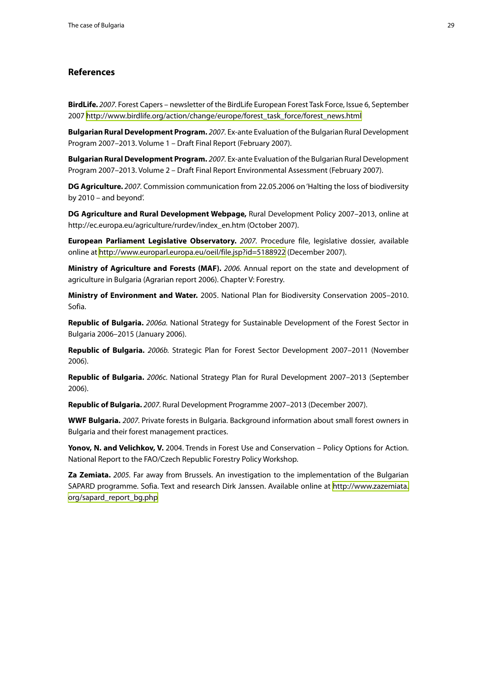#### <span id="page-28-0"></span>**References**

**BirdLife.** *2007.* Forest Capers – newsletter of the BirdLife European Forest Task Force, Issue 6, September 2007 [http://www.birdlife.org/action/change/europe/forest\\_task\\_force/forest\\_news.html](http://www.birdlife.org/action/change/europe/forest_task_force/forest_news.html)

**Bulgarian Rural Development Program.** *2007.* Ex-ante Evaluation of the Bulgarian Rural Development Program 2007–2013. Volume 1 – Draft Final Report (February 2007).

**Bulgarian Rural Development Program.** *2007.* Ex-ante Evaluation of the Bulgarian Rural Development Program 2007–2013. Volume 2 – Draft Final Report Environmental Assessment (February 2007).

**DG Agriculture.** *2007.* Commission communication from 22.05.2006 on 'Halting the loss of biodiversity by 2010 – and beyond'.

**DG Agriculture and Rural Development Webpage,** Rural Development Policy 2007–2013, online at http://ec.europa.eu/agriculture/rurdev/index\_en.htm (October 2007).

**European Parliament Legislative Observatory.** *2007.* Procedure file, legislative dossier, available online at <http://www.europarl.europa.eu/oeil/file.jsp?id=5188922>(December 2007).

**Ministry of Agriculture and Forests (MAF).** *2006.* Annual report on the state and development of agriculture in Bulgaria (Agrarian report 2006). Chapter V: Forestry.

**Ministry of Environment and Water.** 2005. National Plan for Biodiversity Conservation 2005–2010. Sofia.

**Republic of Bulgaria.** *2006a.* National Strategy for Sustainable Development of the Forest Sector in Bulgaria 2006–2015 (January 2006).

**Republic of Bulgaria.** *2006b.* Strategic Plan for Forest Sector Development 2007–2011 (November 2006).

**Republic of Bulgaria.** *2006c.* National Strategy Plan for Rural Development 2007–2013 (September 2006).

**Republic of Bulgaria.** *2007.* Rural Development Programme 2007–2013 (December 2007).

**WWF Bulgaria.** *2007.* Private forests in Bulgaria. Background information about small forest owners in Bulgaria and their forest management practices.

Yonov, N. and Velichkov, V. 2004. Trends in Forest Use and Conservation – Policy Options for Action. National Report to the FAO/Czech Republic Forestry Policy Workshop.

**Za Zemiata.** *2005.* Far away from Brussels. An investigation to the implementation of the Bulgarian SAPARD programme. Sofia. Text and research Dirk Janssen. Available online at [http://www.zazemiata.](http://www.zazemiata.org/sapard_report_bg.php) [org/sapard\\_report\\_bg.php](http://www.zazemiata.org/sapard_report_bg.php)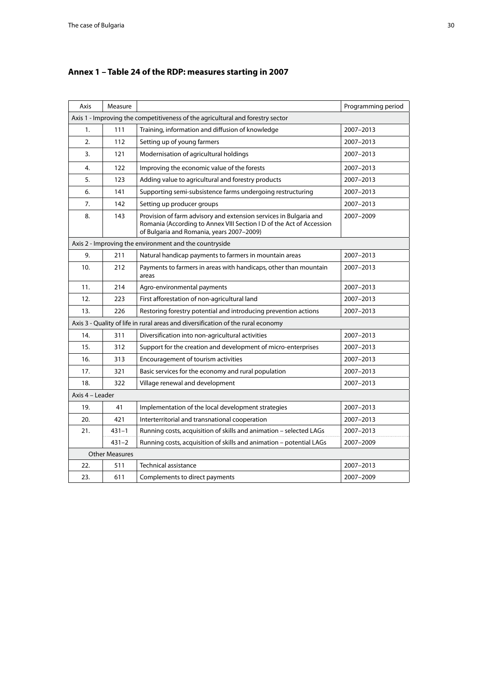| Axis                                                   | Measure                                                                        |                                                                                                                                                                                        | Programming period |  |  |  |  |  |  |  |
|--------------------------------------------------------|--------------------------------------------------------------------------------|----------------------------------------------------------------------------------------------------------------------------------------------------------------------------------------|--------------------|--|--|--|--|--|--|--|
|                                                        | Axis 1 - Improving the competitiveness of the agricultural and forestry sector |                                                                                                                                                                                        |                    |  |  |  |  |  |  |  |
| 1.                                                     | 111                                                                            | Training, information and diffusion of knowledge                                                                                                                                       | 2007-2013          |  |  |  |  |  |  |  |
| 2.                                                     | 112                                                                            | Setting up of young farmers                                                                                                                                                            | 2007-2013          |  |  |  |  |  |  |  |
| 3.                                                     | 121                                                                            | Modernisation of agricultural holdings                                                                                                                                                 | 2007-2013          |  |  |  |  |  |  |  |
| 4.                                                     | 122                                                                            | Improving the economic value of the forests                                                                                                                                            | 2007-2013          |  |  |  |  |  |  |  |
| 5.                                                     | 123                                                                            | Adding value to agricultural and forestry products                                                                                                                                     | 2007-2013          |  |  |  |  |  |  |  |
| 6.                                                     | 141                                                                            | Supporting semi-subsistence farms undergoing restructuring                                                                                                                             | 2007-2013          |  |  |  |  |  |  |  |
| 7.                                                     | 142                                                                            | Setting up producer groups                                                                                                                                                             | 2007-2013          |  |  |  |  |  |  |  |
| 8.                                                     | 143                                                                            | Provision of farm advisory and extension services in Bulgaria and<br>Romania (According to Annex VIII Section I D of the Act of Accession<br>of Bulgaria and Romania, years 2007-2009) | 2007-2009          |  |  |  |  |  |  |  |
| Axis 2 - Improving the environment and the countryside |                                                                                |                                                                                                                                                                                        |                    |  |  |  |  |  |  |  |
| 9.                                                     | 211                                                                            | Natural handicap payments to farmers in mountain areas                                                                                                                                 | 2007-2013          |  |  |  |  |  |  |  |
| 10.                                                    | 212                                                                            | Payments to farmers in areas with handicaps, other than mountain<br>areas                                                                                                              | 2007-2013          |  |  |  |  |  |  |  |
| 11.                                                    | 214                                                                            | Agro-environmental payments                                                                                                                                                            | 2007-2013          |  |  |  |  |  |  |  |
| 12.                                                    | 223                                                                            | First afforestation of non-agricultural land                                                                                                                                           | 2007-2013          |  |  |  |  |  |  |  |
| 226<br>13.                                             |                                                                                | Restoring forestry potential and introducing prevention actions                                                                                                                        | 2007-2013          |  |  |  |  |  |  |  |
|                                                        |                                                                                | Axis 3 - Quality of life in rural areas and diversification of the rural economy                                                                                                       |                    |  |  |  |  |  |  |  |
| 14.                                                    | 311                                                                            | Diversification into non-agricultural activities                                                                                                                                       | 2007-2013          |  |  |  |  |  |  |  |
| 15.                                                    | 312                                                                            | Support for the creation and development of micro-enterprises                                                                                                                          | 2007-2013          |  |  |  |  |  |  |  |
| 16.                                                    | 313                                                                            | Encouragement of tourism activities                                                                                                                                                    | 2007-2013          |  |  |  |  |  |  |  |
| 17.                                                    | 321                                                                            | Basic services for the economy and rural population                                                                                                                                    | 2007-2013          |  |  |  |  |  |  |  |
| 18.                                                    | 322                                                                            | Village renewal and development                                                                                                                                                        | 2007-2013          |  |  |  |  |  |  |  |
| Axis 4 - Leader                                        |                                                                                |                                                                                                                                                                                        |                    |  |  |  |  |  |  |  |
| 19.                                                    | 41                                                                             | Implementation of the local development strategies                                                                                                                                     | 2007-2013          |  |  |  |  |  |  |  |
| 20.                                                    | 421                                                                            | Interterritorial and transnational cooperation                                                                                                                                         | 2007-2013          |  |  |  |  |  |  |  |
| 21.                                                    | 431-1                                                                          | Running costs, acquisition of skills and animation - selected LAGs                                                                                                                     | 2007-2013          |  |  |  |  |  |  |  |
|                                                        | $431 - 2$                                                                      | Running costs, acquisition of skills and animation - potential LAGs                                                                                                                    | 2007-2009          |  |  |  |  |  |  |  |
|                                                        | <b>Other Measures</b>                                                          |                                                                                                                                                                                        |                    |  |  |  |  |  |  |  |
| 22.                                                    | 511                                                                            | <b>Technical assistance</b>                                                                                                                                                            | 2007-2013          |  |  |  |  |  |  |  |
| 23.                                                    | 611                                                                            | Complements to direct payments                                                                                                                                                         | 2007-2009          |  |  |  |  |  |  |  |

# <span id="page-29-0"></span>**Annex 1 – Table 24 of the RDP: measures starting in 2007**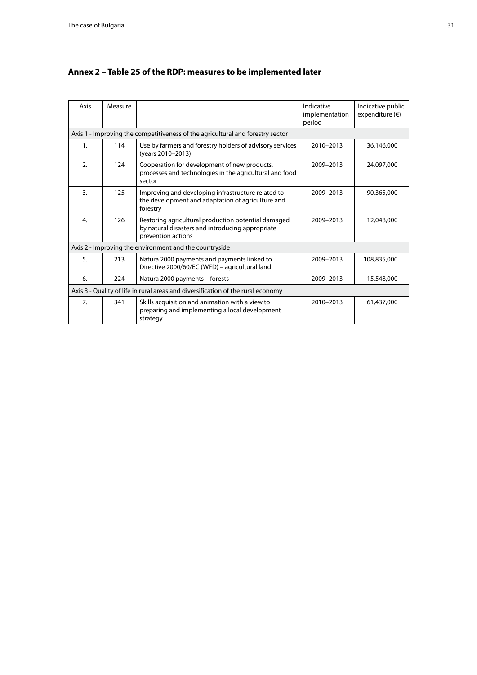| Axis                                                                           | Measure |                                                                                                                               | Indicative<br>implementation<br>period | Indicative public<br>expenditure $(\epsilon)$ |  |  |  |  |  |
|--------------------------------------------------------------------------------|---------|-------------------------------------------------------------------------------------------------------------------------------|----------------------------------------|-----------------------------------------------|--|--|--|--|--|
| Axis 1 - Improving the competitiveness of the agricultural and forestry sector |         |                                                                                                                               |                                        |                                               |  |  |  |  |  |
| 1.                                                                             | 114     | Use by farmers and forestry holders of advisory services<br>(years 2010-2013)                                                 | 2010-2013                              | 36,146,000                                    |  |  |  |  |  |
| 2.                                                                             | 124     | Cooperation for development of new products,<br>processes and technologies in the agricultural and food<br>sector             | 2009-2013                              | 24,097,000                                    |  |  |  |  |  |
| $\overline{3}$ .                                                               | 125     | Improving and developing infrastructure related to<br>the development and adaptation of agriculture and<br>forestry           | 2009-2013                              | 90,365,000                                    |  |  |  |  |  |
| 4.                                                                             | 126     | Restoring agricultural production potential damaged<br>by natural disasters and introducing appropriate<br>prevention actions | 2009-2013                              | 12,048,000                                    |  |  |  |  |  |
|                                                                                |         | Axis 2 - Improving the environment and the countryside                                                                        |                                        |                                               |  |  |  |  |  |
| 5.                                                                             | 213     | Natura 2000 payments and payments linked to<br>Directive 2000/60/EC (WFD) - agricultural land                                 | 2009-2013                              | 108,835,000                                   |  |  |  |  |  |
| 6.                                                                             | 224     | Natura 2000 payments - forests                                                                                                | 2009-2013                              | 15,548,000                                    |  |  |  |  |  |
|                                                                                |         | Axis 3 - Quality of life in rural areas and diversification of the rural economy                                              |                                        |                                               |  |  |  |  |  |
| 7 <sub>1</sub>                                                                 | 341     | Skills acquisition and animation with a view to<br>preparing and implementing a local development<br>strategy                 | 2010-2013                              | 61,437,000                                    |  |  |  |  |  |

# <span id="page-30-0"></span>**Annex 2 – Table 25 of the RDP: measures to be implemented later**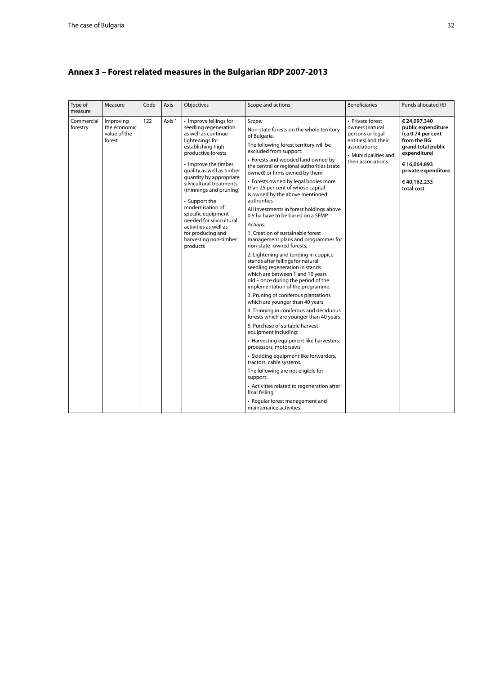| Type of<br>measure     | Measure                                             | Code | Axis   | Objectives                                                                                                                                                                                                                                                                                                                                                                                                                                            | Scope and actions                                                                                                                                                                                                                                                                                                                                                                                                                                                                                                                                                                                                                                                                                                                                                                                                                                                                                                                                                                                                                                                                                                                                                                                                                                                                                                                                                                     | <b>Beneficiaries</b>                                                                                                                           | Funds allocated $(6)$                                                                                                                                                           |
|------------------------|-----------------------------------------------------|------|--------|-------------------------------------------------------------------------------------------------------------------------------------------------------------------------------------------------------------------------------------------------------------------------------------------------------------------------------------------------------------------------------------------------------------------------------------------------------|---------------------------------------------------------------------------------------------------------------------------------------------------------------------------------------------------------------------------------------------------------------------------------------------------------------------------------------------------------------------------------------------------------------------------------------------------------------------------------------------------------------------------------------------------------------------------------------------------------------------------------------------------------------------------------------------------------------------------------------------------------------------------------------------------------------------------------------------------------------------------------------------------------------------------------------------------------------------------------------------------------------------------------------------------------------------------------------------------------------------------------------------------------------------------------------------------------------------------------------------------------------------------------------------------------------------------------------------------------------------------------------|------------------------------------------------------------------------------------------------------------------------------------------------|---------------------------------------------------------------------------------------------------------------------------------------------------------------------------------|
| Commercial<br>forestry | Improving<br>the economic<br>value of the<br>forest | 122  | Axis 1 | • Improve fellings for<br>seedling regeneration<br>as well as continue<br>lightenings for<br>establishing high<br>productive forests<br>• Improve the timber<br>quality as well as timber<br>quantity by appropriate<br>silvicultural treatments<br>(thinnings and pruning)<br>• Support the<br>modernisation of<br>specific equipment<br>needed for silvicultural<br>activities as well as<br>for producing and<br>harvesting non-timber<br>products | Scope:<br>Non-state forests on the whole territory<br>of Bulgaria.<br>The following forest territory will be<br>excluded from support:<br>• Forests and wooded land owned by<br>the central or regional authorities (state<br>owned), or firms owned by them<br>• Forests owned by legal bodies more<br>than 25 per cent of whose capital<br>is owned by the above mentioned<br>authorities<br>All investments in forest holdings above<br>0.5 ha have to be based on a SFMP<br>Actions:<br>1. Creation of sustainable forest<br>management plans and programmes for<br>non-state- owned forests,<br>2. Lightening and tending in coppice<br>stands after fellings for natural<br>seedling regeneration in stands<br>which are between 1 and 10 years<br>old - once during the period of the<br>implementation of the programme.<br>3. Pruning of coniferous plantations<br>which are younger than 40 years<br>4. Thinning in coniferous and deciduous<br>forests which are younger than 40 years<br>5. Purchase of suitable harvest<br>equipment including:<br>• Harvesting equipment like harvesters,<br>processors, motorsaws<br>• Skidding equipment like forwarders,<br>tractors, cable systems.<br>The following are not eligible for<br>support:<br>• Activities related to regeneration after<br>final felling.<br>• Regular forest management and<br>maintenance activities. | • Private forest<br>owners (natural<br>persons or legal<br>entities) and their<br>associations:<br>• Municipalities and<br>their associations. | € 24,097,340<br>public expenditure<br>(ca 0.74 per cent<br>from the BG<br>grand total public<br>expenditure)<br>€16,064,893<br>private expenditure<br>€40,162,233<br>total cost |

# <span id="page-31-0"></span>**Annex 3 – Forest related measures in the Bulgarian RDP 2007-2013**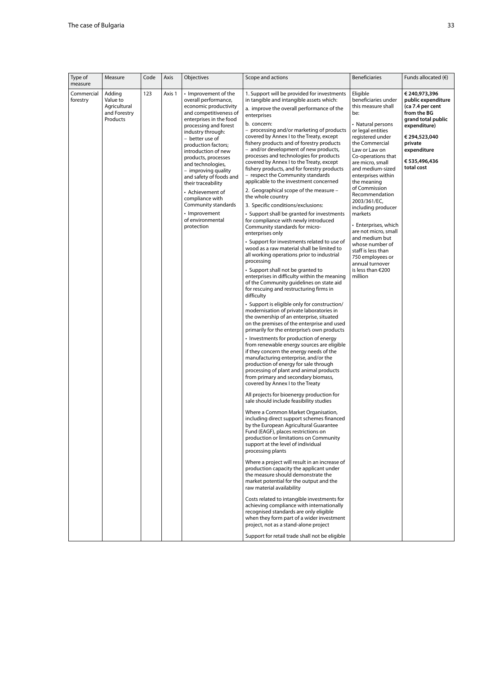| Type of<br>measure     | Measure                                                        | Code | Axis   | Objectives                                                                                                                                                                                                                                                                                                                                                                                                                                                                     | Scope and actions                                                                                                                                                                                                                                                                                                                                                                                                                                                                                                                                                                                                                                                                                                                                                                                                                                                                                                                                                                                                                                                                                                                                                                                                                                                                                                                                                                                                                                                                                                                                                                                                                                                                                                                                                                                                                                                                                                                                                                                                                                                                                                                                                                                                                                                                                                                                                                                                                                                                                                                                                                                                   | <b>Beneficiaries</b>                                                                                                                                                                                                                                                                                                                                                                                                                                                                                                                     | Funds allocated $(€)$                                                                                                                                                                  |
|------------------------|----------------------------------------------------------------|------|--------|--------------------------------------------------------------------------------------------------------------------------------------------------------------------------------------------------------------------------------------------------------------------------------------------------------------------------------------------------------------------------------------------------------------------------------------------------------------------------------|---------------------------------------------------------------------------------------------------------------------------------------------------------------------------------------------------------------------------------------------------------------------------------------------------------------------------------------------------------------------------------------------------------------------------------------------------------------------------------------------------------------------------------------------------------------------------------------------------------------------------------------------------------------------------------------------------------------------------------------------------------------------------------------------------------------------------------------------------------------------------------------------------------------------------------------------------------------------------------------------------------------------------------------------------------------------------------------------------------------------------------------------------------------------------------------------------------------------------------------------------------------------------------------------------------------------------------------------------------------------------------------------------------------------------------------------------------------------------------------------------------------------------------------------------------------------------------------------------------------------------------------------------------------------------------------------------------------------------------------------------------------------------------------------------------------------------------------------------------------------------------------------------------------------------------------------------------------------------------------------------------------------------------------------------------------------------------------------------------------------------------------------------------------------------------------------------------------------------------------------------------------------------------------------------------------------------------------------------------------------------------------------------------------------------------------------------------------------------------------------------------------------------------------------------------------------------------------------------------------------|------------------------------------------------------------------------------------------------------------------------------------------------------------------------------------------------------------------------------------------------------------------------------------------------------------------------------------------------------------------------------------------------------------------------------------------------------------------------------------------------------------------------------------------|----------------------------------------------------------------------------------------------------------------------------------------------------------------------------------------|
| Commercial<br>forestry | Adding<br>Value to<br>Agricultural<br>and Forestry<br>Products | 123  | Axis 1 | • Improvement of the<br>overall performance,<br>economic productivity<br>and competitiveness of<br>enterprises in the food<br>processing and forest<br>industry through:<br>- better use of<br>production factors;<br>introduction of new<br>products, processes<br>and technologies,<br>- improving quality<br>and safety of foods and<br>their traceability<br>• Achievement of<br>compliance with<br>Community standards<br>• Improvement<br>of environmental<br>protection | 1. Support will be provided for investments<br>in tangible and intangible assets which:<br>a. improve the overall performance of the<br>enterprises<br>b. concern:<br>- processing and/or marketing of products<br>covered by Annex I to the Treaty, except<br>fishery products and of forestry products<br>- and/or development of new products,<br>processes and technologies for products<br>covered by Annex I to the Treaty, except<br>fishery products, and for forestry products<br>- respect the Community standards<br>applicable to the investment concerned<br>2. Geographical scope of the measure -<br>the whole country<br>3. Specific conditions/exclusions:<br>• Support shall be granted for investments<br>for compliance with newly introduced<br>Community standards for micro-<br>enterprises only<br>• Support for investments related to use of<br>wood as a raw material shall be limited to<br>all working operations prior to industrial<br>processing<br>• Support shall not be granted to<br>enterprises in difficulty within the meaning<br>of the Community guidelines on state aid<br>for rescuing and restructuring firms in<br>difficulty<br>· Support is eligible only for construction/<br>modernisation of private laboratories in<br>the ownership of an enterprise, situated<br>on the premises of the enterprise and used<br>primarily for the enterprise's own products<br>• Investments for production of energy<br>from renewable energy sources are eligible<br>if they concern the energy needs of the<br>manufacturing enterprise, and/or the<br>production of energy for sale through<br>processing of plant and animal products<br>from primary and secondary biomass,<br>covered by Annex I to the Treaty<br>All projects for bioenergy production for<br>sale should include feasibility studies<br>Where a Common Market Organisation,<br>including direct support schemes financed<br>by the European Agricultural Guarantee<br>Fund (EAGF), places restrictions on<br>production or limitations on Community<br>support at the level of individual<br>processing plants<br>Where a project will result in an increase of<br>production capacity the applicant under<br>the measure should demonstrate the<br>market potential for the output and the<br>raw material availability<br>Costs related to intangible investments for<br>achieving compliance with internationally<br>recognised standards are only eligible<br>when they form part of a wider investment<br>project, not as a stand-alone project<br>Support for retail trade shall not be eligible | Eligible<br>beneficiaries under<br>this measure shall<br>be:<br>• Natural persons<br>or legal entities<br>registered under<br>the Commercial<br>Law or Law on<br>Co-operations that<br>are micro, small<br>and medium-sized<br>enterprises within<br>the meaning<br>of Commission<br>Recommendation<br>2003/361/EC,<br>including producer<br>markets<br>• Enterprises, which<br>are not micro, small<br>and medium but<br>whose number of<br>staff is less than<br>750 employees or<br>annual turnover<br>is less than $€200$<br>million | € 240,973,396<br>public expenditure<br>(ca 7.4 per cent<br>from the BG<br>grand total public<br>expenditure)<br>€ 294,523,040<br>private<br>expenditure<br>€ 535,496,436<br>total cost |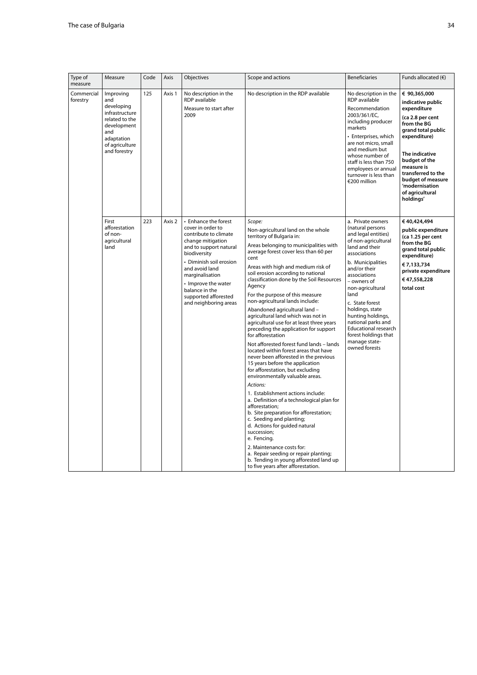| Type of<br>measure     | Measure                                                                                                                                  | Code | Axis   | Objectives                                                                                                                                                                                                                                                                                  | Scope and actions                                                                                                                                                                                                                                                                                                                                                                                                                                                                                                                                                                                                                                                                                                                                                                                                                                                                                                                                                                                                                                                                                                                                                                                                  | <b>Beneficiaries</b>                                                                                                                                                                                                                                                                                                                                                                     | Funds allocated $(6)$                                                                                                                                                                                                                                                   |
|------------------------|------------------------------------------------------------------------------------------------------------------------------------------|------|--------|---------------------------------------------------------------------------------------------------------------------------------------------------------------------------------------------------------------------------------------------------------------------------------------------|--------------------------------------------------------------------------------------------------------------------------------------------------------------------------------------------------------------------------------------------------------------------------------------------------------------------------------------------------------------------------------------------------------------------------------------------------------------------------------------------------------------------------------------------------------------------------------------------------------------------------------------------------------------------------------------------------------------------------------------------------------------------------------------------------------------------------------------------------------------------------------------------------------------------------------------------------------------------------------------------------------------------------------------------------------------------------------------------------------------------------------------------------------------------------------------------------------------------|------------------------------------------------------------------------------------------------------------------------------------------------------------------------------------------------------------------------------------------------------------------------------------------------------------------------------------------------------------------------------------------|-------------------------------------------------------------------------------------------------------------------------------------------------------------------------------------------------------------------------------------------------------------------------|
| Commercial<br>forestry | Improving<br>and<br>developing<br>infrastructure<br>related to the<br>development<br>and<br>adaptation<br>of agriculture<br>and forestry | 125  | Axis 1 | No description in the<br>RDP available<br>Measure to start after<br>2009                                                                                                                                                                                                                    | No description in the RDP available                                                                                                                                                                                                                                                                                                                                                                                                                                                                                                                                                                                                                                                                                                                                                                                                                                                                                                                                                                                                                                                                                                                                                                                | No description in the<br>RDP available<br>Recommendation<br>2003/361/EC,<br>including producer<br>markets<br>• Enterprises, which<br>are not micro, small<br>and medium but<br>whose number of<br>staff is less than 750<br>employees or annual<br>turnover is less than<br>€200 million                                                                                                 | € 90,365,000<br>indicative public<br>expenditure<br>(ca 2.8 per cent<br>from the BG<br>grand total public<br>expenditure)<br>The indicative<br>budget of the<br>measure is<br>transferred to the<br>budget of measure<br>'modernisation<br>of agricultural<br>holdings' |
|                        | First<br>afforestation<br>of non-<br>agricultural<br>land                                                                                | 223  | Axis 2 | • Enhance the forest<br>cover in order to<br>contribute to climate<br>change mitigation<br>and to support natural<br>biodiversity<br>• Diminish soil erosion<br>and avoid land<br>marginalisation<br>• Improve the water<br>balance in the<br>supported afforested<br>and neighboring areas | Scope:<br>Non-agricultural land on the whole<br>territory of Bulgaria in:<br>Areas belonging to municipalities with<br>average forest cover less than 60 per<br>cent<br>Areas with high and medium risk of<br>soil erosion according to national<br>classification done by the Soil Resources<br>Agency<br>For the purpose of this measure<br>non-agricultural lands include:<br>Abandoned agricultural land -<br>agricultural land which was not in<br>agricultural use for at least three years<br>preceding the application for support<br>for afforestation<br>Not afforested forest fund lands - lands<br>located within forest areas that have<br>never been afforested in the previous<br>15 years before the application<br>for afforestation, but excluding<br>environmentally valuable areas.<br>Actions:<br>1. Establishment actions include:<br>a. Definition of a technological plan for<br>afforestation;<br>b. Site preparation for afforestation;<br>c. Seeding and planting;<br>d. Actions for guided natural<br>succession;<br>e. Fencing.<br>2. Maintenance costs for:<br>a. Repair seeding or repair planting;<br>b. Tending in young afforested land up<br>to five years after afforestation. | a. Private owners<br>(natural persons<br>and legal entities)<br>of non-agricultural<br>land and their<br>associations<br>b. Municipalities<br>and/or their<br>associations<br>- owners of<br>non-agricultural<br>land<br>c. State forest<br>holdings, state<br>hunting holdings,<br>national parks and<br>Educational research<br>forest holdings that<br>manage state-<br>owned forests | €40,424,494<br>public expenditure<br>(ca 1.25 per cent<br>from the BG<br>grand total public<br>expenditure)<br>€ 7,133,734<br>private expenditure<br>€47,558,228<br>total cost                                                                                          |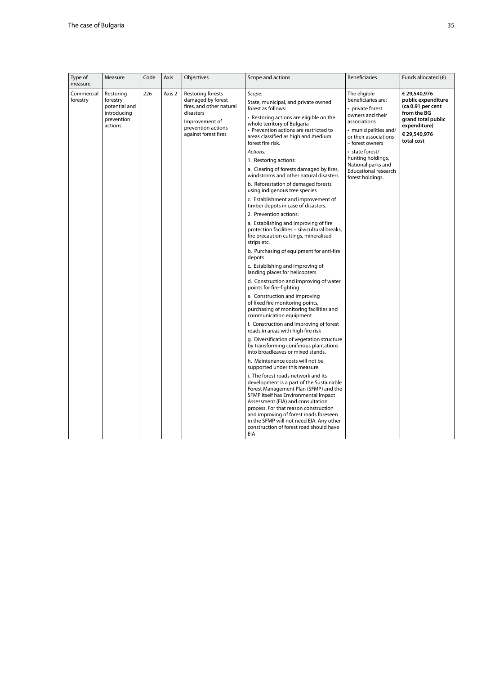| 226<br>Commercial<br>Restoring<br>Axis 2<br>Restoring forests<br>Scope:<br>The eligible<br>€ 29.540.976<br>beneficiaries are:<br>forestry<br>damaged by forest<br>forestry<br>State, municipal, and private owned<br>potential and<br>fires, and other natural<br>forest as follows:<br>• private forest<br>introducing<br>disasters<br>from the BG<br>owners and their<br>• Restoring actions are eligible on the<br>prevention<br>Improvement of<br>associations<br>whole territory of Bulgaria<br>actions<br>expenditure)<br>prevention actions<br>• Prevention actions are restricted to<br>• municipalities and/<br>against forest fires<br>€ 29,540,976<br>areas classified as high and medium<br>or their associations<br>total cost<br>forest fire risk.<br>– forest owners<br>Actions:<br>• state forest/<br>hunting holdings,<br>1. Restoring actions:<br>National parks and<br>a. Clearing of forests damaged by fires,<br>Educational research<br>windstorms and other natural disasters<br>forest holdings.<br>b. Reforestation of damaged forests<br>using indigenous tree species<br>c. Establishment and improvement of     | Type of<br>measure | Measure | Code | Axis | Objectives | Scope and actions | <b>Beneficiaries</b> | Funds allocated $(6)$                                         |
|---------------------------------------------------------------------------------------------------------------------------------------------------------------------------------------------------------------------------------------------------------------------------------------------------------------------------------------------------------------------------------------------------------------------------------------------------------------------------------------------------------------------------------------------------------------------------------------------------------------------------------------------------------------------------------------------------------------------------------------------------------------------------------------------------------------------------------------------------------------------------------------------------------------------------------------------------------------------------------------------------------------------------------------------------------------------------------------------------------------------------------------------|--------------------|---------|------|------|------------|-------------------|----------------------|---------------------------------------------------------------|
| timber depots in case of disasters.<br>2. Prevention actions:<br>a. Establishing and improving of fire<br>protection facilities - silvicultural breaks,<br>fire precaution cuttings, mineralised<br>strips etc.<br>b. Purchasing of equipment for anti-fire<br>depots<br>c. Establishing and improving of<br>landing places for helicopters<br>d. Construction and improving of water<br>points for fire-fighting<br>e. Construction and improving<br>of fixed fire monitoring points,<br>purchasing of monitoring facilities and<br>communication equipment<br>f. Construction and improving of forest<br>roads in areas with high fire risk<br>g. Diversification of vegetation structure<br>by transforming coniferous plantations<br>into broadleaves or mixed stands.<br>h. Maintenance costs will not be<br>supported under this measure.<br>i. The forest roads network and its<br>development is a part of the Sustainable<br>Forest Management Plan (SFMP) and the<br>SFMP itself has Environmental Impact<br>Assessment (EIA) and consultation<br>process. For that reason construction<br>and improving of forest roads foreseen |                    |         |      |      |            |                   |                      | public expenditure<br>(ca 0.91 per cent<br>grand total public |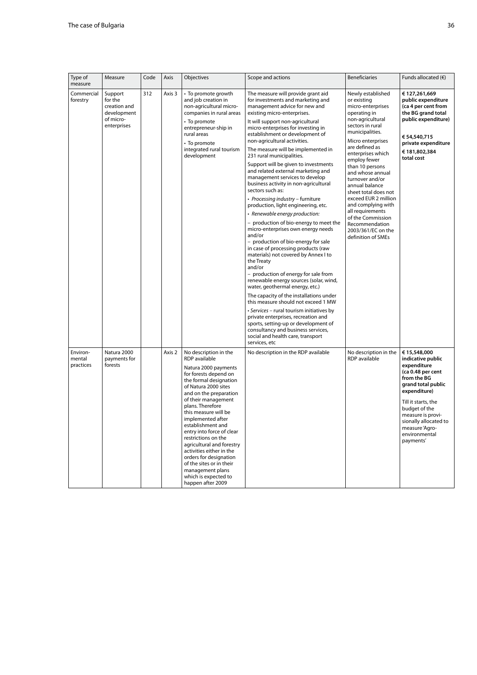| Type of<br>measure              | Measure                                                                       | Code | Axis   | Objectives                                                                                                                                                                                                                                                                                                                                                                                                                                                                                                           | Scope and actions                                                                                                                                                                                                                                                                                                                                                                                                                                                                                                                                                                                                                                                                                                                                                                                                                                                                                                                                                                                                                                                                                                                                                                                                                                                                                                         | <b>Beneficiaries</b>                                                                                                                                                                                                                                                                                                                                                                                                                                                  | Funds allocated $(6)$                                                                                                                                                                                                                                            |
|---------------------------------|-------------------------------------------------------------------------------|------|--------|----------------------------------------------------------------------------------------------------------------------------------------------------------------------------------------------------------------------------------------------------------------------------------------------------------------------------------------------------------------------------------------------------------------------------------------------------------------------------------------------------------------------|---------------------------------------------------------------------------------------------------------------------------------------------------------------------------------------------------------------------------------------------------------------------------------------------------------------------------------------------------------------------------------------------------------------------------------------------------------------------------------------------------------------------------------------------------------------------------------------------------------------------------------------------------------------------------------------------------------------------------------------------------------------------------------------------------------------------------------------------------------------------------------------------------------------------------------------------------------------------------------------------------------------------------------------------------------------------------------------------------------------------------------------------------------------------------------------------------------------------------------------------------------------------------------------------------------------------------|-----------------------------------------------------------------------------------------------------------------------------------------------------------------------------------------------------------------------------------------------------------------------------------------------------------------------------------------------------------------------------------------------------------------------------------------------------------------------|------------------------------------------------------------------------------------------------------------------------------------------------------------------------------------------------------------------------------------------------------------------|
| Commercial<br>forestry          | Support<br>for the<br>creation and<br>development<br>of micro-<br>enterprises | 312  | Axis 3 | • To promote growth<br>and job creation in<br>non-agricultural micro-<br>companies in rural areas<br>• To promote<br>entrepreneur-ship in<br>rural areas<br>• To promote<br>integrated rural tourism<br>development                                                                                                                                                                                                                                                                                                  | The measure will provide grant aid<br>for investments and marketing and<br>management advice for new and<br>existing micro-enterprises.<br>It will support non-agricultural<br>micro-enterprises for investing in<br>establishment or development of<br>non-agricultural activities.<br>The measure will be implemented in<br>231 rural municipalities.<br>Support will be given to investments<br>and related external marketing and<br>management services to develop<br>business activity in non-agricultural<br>sectors such as:<br>· Processing industry - furniture<br>production, light engineering, etc.<br>• Renewable energy production:<br>- production of bio-energy to meet the<br>micro-enterprises own energy needs<br>and/or<br>- production of bio-energy for sale<br>in case of processing products (raw<br>materials) not covered by Annex I to<br>the Treaty<br>and/or<br>- production of energy for sale from<br>renewable energy sources (solar, wind,<br>water, geothermal energy, etc.)<br>The capacity of the installations under<br>this measure should not exceed 1 MW<br>• Services – rural tourism initiatives by<br>private enterprises, recreation and<br>sports, setting-up or development of<br>consultancy and business services,<br>social and health care, transport<br>services, etc | Newly established<br>or existing<br>micro-enterprises<br>operating in<br>non-agricultural<br>sectors in rural<br>municipalities.<br>Micro enterprises<br>are defined as<br>enterprises which<br>employ fewer<br>than 10 persons<br>and whose annual<br>turnover and/or<br>annual balance<br>sheet total does not<br>exceed EUR 2 million<br>and complying with<br>all requirements<br>of the Commission<br>Recommendation<br>2003/361/EC on the<br>definition of SMEs | € 127,261,669<br>public expenditure<br>(ca 4 per cent from<br>the BG grand total<br>public expenditure)<br>€ 54,540,715<br>private expenditure<br>€181,802,384<br>total cost                                                                                     |
| Environ-<br>mental<br>practices | Natura 2000<br>payments for<br>forests                                        |      | Axis 2 | No description in the<br>RDP available<br>Natura 2000 payments<br>for forests depend on<br>the formal designation<br>of Natura 2000 sites<br>and on the preparation<br>of their management<br>plans. Therefore<br>this measure will be<br>implemented after<br>establishment and<br>entry into force of clear<br>restrictions on the<br>agricultural and forestry<br>activities either in the<br>orders for designation<br>of the sites or in their<br>management plans<br>which is expected to<br>happen after 2009 | No description in the RDP available                                                                                                                                                                                                                                                                                                                                                                                                                                                                                                                                                                                                                                                                                                                                                                                                                                                                                                                                                                                                                                                                                                                                                                                                                                                                                       | No description in the<br>RDP available                                                                                                                                                                                                                                                                                                                                                                                                                                | € 15,548,000<br>indicative public<br>expenditure<br>(ca 0.48 per cent<br>from the BG<br>grand total public<br>expenditure)<br>Till it starts, the<br>budget of the<br>measure is provi-<br>sionally allocated to<br>measure 'Agro-<br>environmental<br>payments' |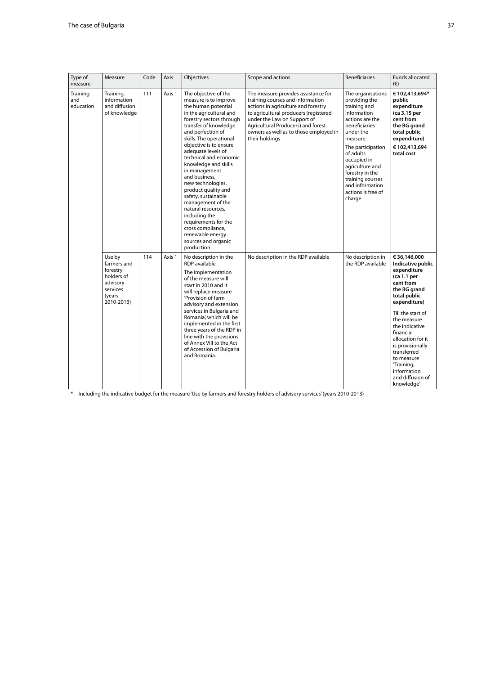| Type of<br>measure           | Measure                                                                                         | Code | Axis   | Objectives                                                                                                                                                                                                                                                                                                                                                                                                                                                                                                                                                                    | Scope and actions                                                                                                                                                                                                                                                                        | <b>Beneficiaries</b>                                                                                                                                                                                                                                                                         | Funds allocated<br>$(\in)$                                                                                                                                                                                                                                                                                                           |
|------------------------------|-------------------------------------------------------------------------------------------------|------|--------|-------------------------------------------------------------------------------------------------------------------------------------------------------------------------------------------------------------------------------------------------------------------------------------------------------------------------------------------------------------------------------------------------------------------------------------------------------------------------------------------------------------------------------------------------------------------------------|------------------------------------------------------------------------------------------------------------------------------------------------------------------------------------------------------------------------------------------------------------------------------------------|----------------------------------------------------------------------------------------------------------------------------------------------------------------------------------------------------------------------------------------------------------------------------------------------|--------------------------------------------------------------------------------------------------------------------------------------------------------------------------------------------------------------------------------------------------------------------------------------------------------------------------------------|
| Training<br>and<br>education | Training,<br>information<br>and diffusion<br>of knowledge                                       | 111  | Axis 1 | The objective of the<br>measure is to improve<br>the human potential<br>in the agricultural and<br>forestry sectors through<br>transfer of knowledge<br>and perfection of<br>skills. The operational<br>objective is to ensure<br>adequate levels of<br>technical and economic<br>knowledge and skills<br>in management<br>and business,<br>new technologies,<br>product quality and<br>safety, sustainable<br>management of the<br>natural resources,<br>including the<br>requirements for the<br>cross compliance,<br>renewable energy<br>sources and organic<br>production | The measure provides assistance for<br>training courses and information<br>actions in agriculture and forestry<br>to agricultural producers (registered<br>under the Law on Support of<br>Agricultural Producers) and forest<br>owners as well as to those employed in<br>their holdings | The organisations<br>providing the<br>training and<br>information<br>actions are the<br>beneficiaries<br>under the<br>measure.<br>The participation<br>of adults<br>occupied in<br>agriculture and<br>forestry in the<br>training courses<br>and information<br>actions is free of<br>charge | € 102,413,694*<br>public<br>expenditure<br>(ca 3.15 per<br>cent from<br>the BG grand<br>total public<br>expenditure)<br>€ 102,413,694<br>total cost                                                                                                                                                                                  |
|                              | Use by<br>farmers and<br>forestry<br>holders of<br>advisory<br>services<br>(years<br>2010-2013) | 114  | Axis 1 | No description in the<br>RDP available<br>The implementation<br>of the measure will<br>start in 2010 and it<br>will replace measure<br>'Provision of farm<br>advisory and extension<br>services in Bulgaria and<br>Romania', which will be<br>implemented in the first<br>three years of the RDP in<br>line with the provisions<br>of Annex VIII to the Act<br>of Accession of Bulgaria<br>and Romania.                                                                                                                                                                       | No description in the RDP available                                                                                                                                                                                                                                                      | No description in<br>the RDP available                                                                                                                                                                                                                                                       | € 36,146,000<br>Indicative public<br>expenditure<br>(ca 1.1 per<br>cent from<br>the BG grand<br>total public<br>expenditure)<br>Till the start of<br>the measure<br>the indicative<br>financial<br>allocation for it<br>is provisionally<br>transferred<br>to measure<br>'Training,<br>information<br>and diffusion of<br>knowledge' |

\* Including the indicative budget for the measure 'Use by farmers and forestry holders of advisory services' (years 2010-2013)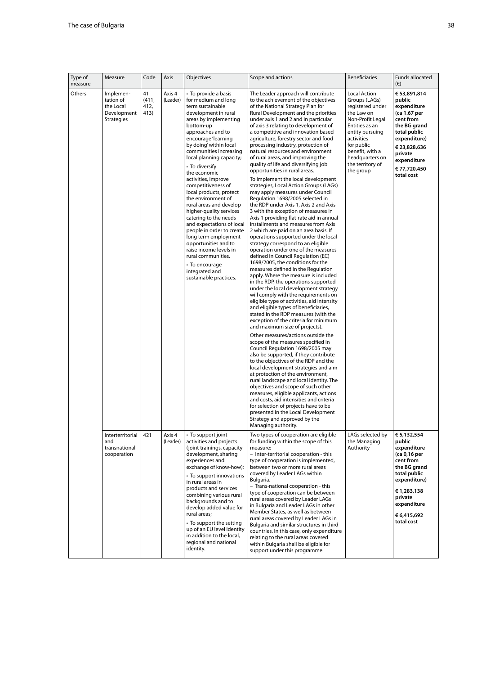| Type of | Measure                                                                 | Code                        | Axis               | Objectives                                                                                                                                                                                                                                                                                                                                                                                                                                                                                                                                                                                                                                                                                       | Scope and actions                                                                                                                                                                                                                                                                                                                                                                                                                                                                                                                                                                                                                                                                                                                                                                                                                                                                                                                                                                                                                                                                                                                                                                                                                                                                                                                                                                                                                                                                                                                                                                                                                                                                                                                                                                                                                                                                                                                                                                                                                                                                            | <b>Beneficiaries</b>                                                                                                                                                                                                        | Funds allocated                                                                                                                                                                          |
|---------|-------------------------------------------------------------------------|-----------------------------|--------------------|--------------------------------------------------------------------------------------------------------------------------------------------------------------------------------------------------------------------------------------------------------------------------------------------------------------------------------------------------------------------------------------------------------------------------------------------------------------------------------------------------------------------------------------------------------------------------------------------------------------------------------------------------------------------------------------------------|----------------------------------------------------------------------------------------------------------------------------------------------------------------------------------------------------------------------------------------------------------------------------------------------------------------------------------------------------------------------------------------------------------------------------------------------------------------------------------------------------------------------------------------------------------------------------------------------------------------------------------------------------------------------------------------------------------------------------------------------------------------------------------------------------------------------------------------------------------------------------------------------------------------------------------------------------------------------------------------------------------------------------------------------------------------------------------------------------------------------------------------------------------------------------------------------------------------------------------------------------------------------------------------------------------------------------------------------------------------------------------------------------------------------------------------------------------------------------------------------------------------------------------------------------------------------------------------------------------------------------------------------------------------------------------------------------------------------------------------------------------------------------------------------------------------------------------------------------------------------------------------------------------------------------------------------------------------------------------------------------------------------------------------------------------------------------------------------|-----------------------------------------------------------------------------------------------------------------------------------------------------------------------------------------------------------------------------|------------------------------------------------------------------------------------------------------------------------------------------------------------------------------------------|
| measure |                                                                         |                             |                    |                                                                                                                                                                                                                                                                                                                                                                                                                                                                                                                                                                                                                                                                                                  |                                                                                                                                                                                                                                                                                                                                                                                                                                                                                                                                                                                                                                                                                                                                                                                                                                                                                                                                                                                                                                                                                                                                                                                                                                                                                                                                                                                                                                                                                                                                                                                                                                                                                                                                                                                                                                                                                                                                                                                                                                                                                              |                                                                                                                                                                                                                             | $(\epsilon)$                                                                                                                                                                             |
|         | Implemen-<br>tation of<br>the Local<br>Development<br><b>Strategies</b> | 41<br>(411,<br>412,<br>413) | Axis 4<br>(Leader) | • To provide a basis<br>for medium and long<br>term sustainable<br>development in rural<br>areas by implementing<br>bottom-up<br>approaches and to<br>encourage 'learning<br>by doing' within local<br>communities increasing<br>local planning capacity;<br>• To diversify<br>the economic<br>activities, improve<br>competitiveness of<br>local products, protect<br>the environment of<br>rural areas and develop<br>higher-quality services<br>catering to the needs<br>and expectations of local<br>people in order to create<br>long term employment<br>opportunities and to<br>raise income levels in<br>rural communities.<br>• To encourage<br>integrated and<br>sustainable practices. | The Leader approach will contribute<br>to the achievement of the objectives<br>of the National Strategy Plan for<br>Rural Development and the priorities<br>under axis 1 and 2 and in particular<br>of axis 3 relating to development of<br>a competitive and innovation based<br>agriculture, forestry sector and food<br>processing industry, protection of<br>natural resources and environment<br>of rural areas, and improving the<br>quality of life and diversifying job<br>opportunities in rural areas.<br>To implement the local development<br>strategies, Local Action Groups (LAGs)<br>may apply measures under Council<br>Regulation 1698/2005 selected in<br>the RDP under Axis 1, Axis 2 and Axis<br>3 with the exception of measures in<br>Axis 1 providing flat-rate aid in annual<br>installments and measures from Axis<br>2 which are paid on an area basis. If<br>operations supported under the local<br>strategy correspond to an eligible<br>operation under one of the measures<br>defined in Council Regulation (EC)<br>1698/2005, the conditions for the<br>measures defined in the Regulation<br>apply. Where the measure is included<br>in the RDP, the operations supported<br>under the local development strategy<br>will comply with the requirements on<br>eligible type of activities, aid intensity<br>and eligible types of beneficiaries,<br>stated in the RDP measures (with the<br>exception of the criteria for minimum<br>and maximum size of projects).<br>Other measures/actions outside the<br>scope of the measures specified in<br>Council Regulation 1698/2005 may<br>also be supported, if they contribute<br>to the objectives of the RDP and the<br>local development strategies and aim<br>at protection of the environment,<br>rural landscape and local identity. The<br>objectives and scope of such other<br>measures, eligible applicants, actions<br>and costs, aid intensities and criteria<br>for selection of projects have to be<br>presented in the Local Development<br>Strategy and approved by the<br>Managing authority. | Local Action<br>Groups (LAGs)<br>registered under<br>the Law on<br>Non-Profit Legal<br>Entities as an<br>entity pursuing<br>activities<br>for public<br>benefit, with a<br>headquarters on<br>the territory of<br>the group | €53,891,814<br>public<br>expenditure<br>(ca 1.67 per<br>cent from<br>the BG grand<br>total public<br>expenditure)<br>€ 23,828,636<br>private<br>expenditure<br>€77,720,450<br>total cost |
|         | Interterritorial<br>and<br>transnational<br>cooperation                 | 421                         | Axis 4<br>(Leader) | • To support joint<br>activities and projects<br>(joint trainings, capacity<br>development, sharing<br>experiences and<br>exchange of know-how);<br>• To support innovations<br>in rural areas in<br>products and services<br>combining various rural<br>backgrounds and to<br>develop added value for<br>rural areas;<br>• To support the setting<br>up of an EU level identity<br>in addition to the local,<br>regional and national<br>identity.                                                                                                                                                                                                                                              | Two types of cooperation are eligible<br>for funding within the scope of this<br>measure:<br>- Inter-territorial cooperation - this<br>type of cooperation is implemented,<br>between two or more rural areas<br>covered by Leader LAGs within<br>Bulgaria.<br>- Trans-national cooperation - this<br>type of cooperation can be between<br>rural areas covered by Leader LAGs<br>in Bulgaria and Leader LAGs in other<br>Member States, as well as between<br>rural areas covered by Leader LAGs in<br>Bulgaria and similar structures in third<br>countries. In this case, only expenditure<br>relating to the rural areas covered<br>within Bulgaria shall be eligible for<br>support under this programme.                                                                                                                                                                                                                                                                                                                                                                                                                                                                                                                                                                                                                                                                                                                                                                                                                                                                                                                                                                                                                                                                                                                                                                                                                                                                                                                                                                               | LAGs selected by<br>the Managing<br>Authority                                                                                                                                                                               | € 5,132,554<br>public<br>expenditure<br>(ca 0,16 per<br>cent from<br>the BG grand<br>total public<br>expenditure)<br>€1,283,138<br>private<br>expenditure<br>€ 6,415,692<br>total cost   |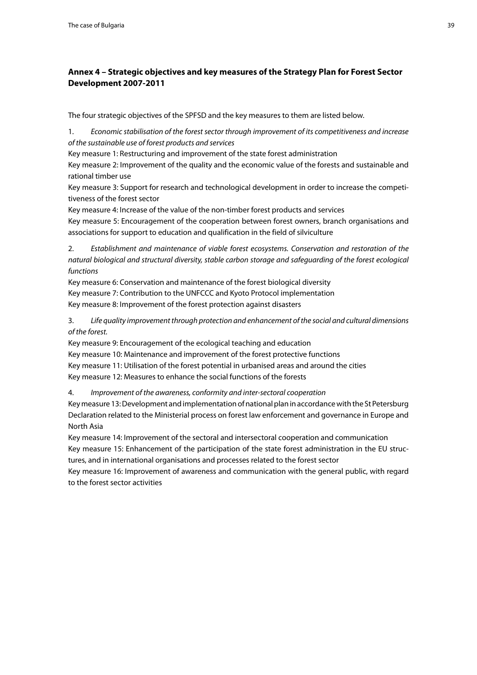## <span id="page-38-0"></span>**Annex 4 – Strategic objectives and key measures of the Strategy Plan for Forest Sector Development 2007-2011**

The four strategic objectives of the SPFSD and the key measures to them are listed below.

1. *Economic stabilisation of the forest sector through improvement of its competitiveness and increase of the sustainable use of forest products and services* 

Key measure 1: Restructuring and improvement of the state forest administration

Key measure 2: Improvement of the quality and the economic value of the forests and sustainable and rational timber use

Key measure 3: Support for research and technological development in order to increase the competitiveness of the forest sector

Key measure 4: Increase of the value of the non-timber forest products and services

Key measure 5: Encouragement of the cooperation between forest owners, branch organisations and associations for support to education and qualification in the field of silviculture

2. *Establishment and maintenance of viable forest ecosystems. Conservation and restoration of the natural biological and structural diversity, stable carbon storage and safeguarding of the forest ecological functions* 

Key measure 6: Conservation and maintenance of the forest biological diversity Key measure 7: Contribution to the UNFCCC and Kyoto Protocol implementation Key measure 8: Improvement of the forest protection against disasters

3. *Life quality improvement through protection and enhancement of the social and cultural dimensions of the forest.* 

Key measure 9: Encouragement of the ecological teaching and education Key measure 10: Maintenance and improvement of the forest protective functions Key measure 11: Utilisation of the forest potential in urbanised areas and around the cities Key measure 12: Measures to enhance the social functions of the forests

4. *Improvement of the awareness, conformity and inter-sectoral cooperation* 

Key measure 13: Development and implementation of national plan in accordance with the St Petersburg Declaration related to the Ministerial process on forest law enforcement and governance in Europe and North Asia

Key measure 14: Improvement of the sectoral and intersectoral cooperation and communication Key measure 15: Enhancement of the participation of the state forest administration in the EU structures, and in international organisations and processes related to the forest sector

Key measure 16: Improvement of awareness and communication with the general public, with regard to the forest sector activities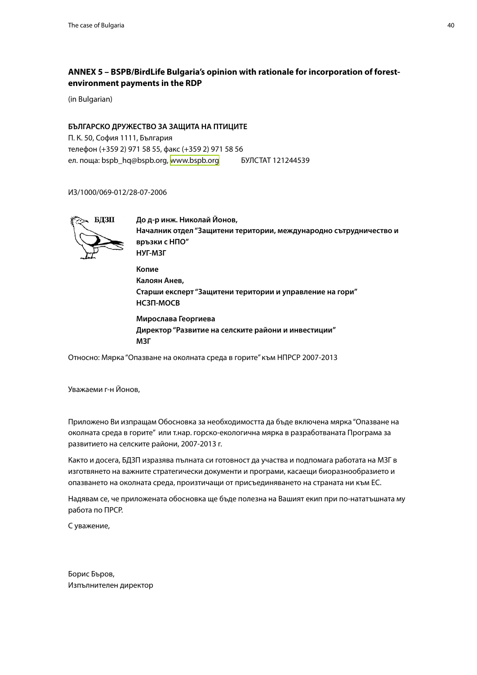## <span id="page-39-0"></span>**ANNEX 5 – BSPB/BirdLife Bulgaria's opinion with rationale for incorporation of forestenvironment payments in the RDP**

(in Bulgarian)

#### **БЪЛГАРСКО ДРУЖЕСТВО ЗА ЗАЩИТА НА ПТИЦИТЕ**

П. К. 50, София 1111, България телефон (+359 2) 971 58 55, факс (+359 2) 971 58 56 ел. поща: bspb\_hq@bspb.org, <www.bspb.org> БУЛСТАТ 121244539

ИЗ/1000/069-012/28-07-2006



 **До д-р инж. Николай Йонов, Началник отдел "Защитени територии, международно сътрудничество и връзки с НПО" НУГ-МЗГ Копие Калоян Анев, Старши експерт "Защитени територии и управление на гори" НСЗП-МОСВ Мирослава Георгиева Директор "Развитие на селските райони и инвестиции"**

Относно: Мярка "Опазване на околната среда в горите" към НПРСР 2007-2013

Уважаеми г-н Йонов,

 **МЗГ**

Приложено Ви изпращам Обосновка за необходимостта да бъде включена мярка "Опазване на околната среда в горите" или т.нар. горско-екологична мярка в разработваната Програма за развитието на селските райони, 2007-2013 г.

Както и досега, БДЗП изразява пълната си готовност да участва и подпомага работата на МЗГ в изготвянето на важните стратегически документи и програми, касаещи биоразнообразието и опазването на околната среда, произтичащи от присъединяването на страната ни към ЕС.

Надявам се, че приложената обосновка ще бъде полезна на Вашият екип при по-нататъшната му работа по ПРСР.

С уважение,

Борис Бъров, Изпълнителен директор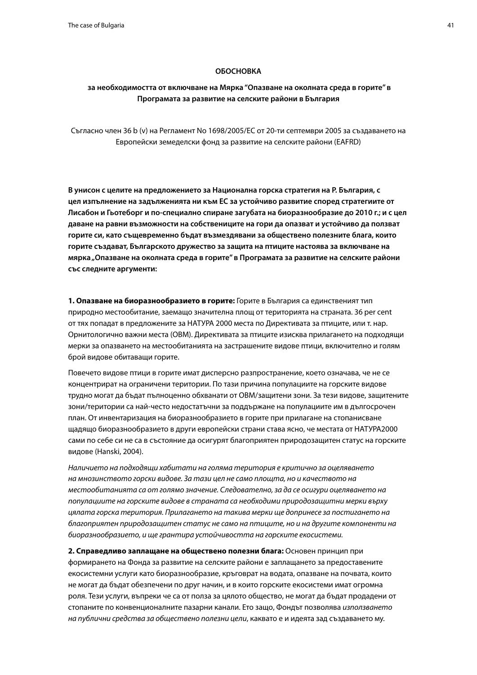#### **ОБОСНОВКА**

## **за необходимостта от включване на Мярка "Опазване на околната среда в горите" в Програмата за развитие на селските райони в България**

Съгласно член 36 b (v) на Регламент No 1698/2005/ЕС от 20-ти септември 2005 за създаването на Европейски земеделски фонд за развитие на селските райони (EAFRD)

**В унисон с целите на предложението за Национална горска стратегия на Р. България, с цел изпълнение на задълженията ни към ЕС за устойчиво развитие според стратегиите от Лисабон и Гьотеборг и по-специално спиране загубата на биоразнообразие до 2010 г.; и с цел даване на равни възможности на собствениците на гори да опазват и устойчиво да ползват горите си, като същевременно бъдат възмездявани за обществено полезните блага, които горите създават, Българското дружество за защита на птиците настоява за включване на мярка "Опазване на околната среда в горите" в Програмата за развитие на селските райони със следните аргументи:**

**1. Опазване на биоразнообразието в горите:** Горите в България са единственият тип природно местообитание, заемащо значителна площ от територията на страната. 36 per cent от тях попадат в предложените за НАТУРА 2000 места по Директивата за птиците, или т. нар. Орнитологично важни места (ОВМ). Директивата за птиците изисква прилагането на подходящи мерки за опазването на местообитанията на застрашените видове птици, включително и голям брой видове обитаващи горите.

Повечето видове птици в горите имат дисперсно разпространение, което означава, че не се концентрират на ограничени територии. По тази причина популациите на горските видове трудно могат да бъдат пълноценно обхванати от ОВМ/защитени зони. За тези видове, защитените зони/територии са най-често недостатъчни за поддържане на популациите им в дългосрочен план. От инвентаризация на биоразнообразието в горите при прилагане на стопанисване щадящо биоразнообразието в други европейски страни става ясно, че местата от НАТУРА2000 сами по себе си не са в състояние да осигурят благоприятен природозащитен статус на горските видове (Hanski, 2004).

*Наличието на подходящи хабитати на голяма територия е критично за оцеляването на мнозинството горски видове. За тази цел не само площта, но и качеството на местообитанията са от голямо значение. Следователно, за да се осигури оцеляването на популациите на горските видове в страната са необходими природозащитни мерки върху цялата горска територия. Прилагането на такива мерки ще допринесе за постигането на благоприятен природозащитен статус не само на птиците, но и на другите компоненти на биоразнообразието, и ще грантира устойчивостта на горските екосистеми.*

**2. Справедливо заплащане на обществено полезни блага:** Основен принцип при формирането на Фонда за развитие на селските райони е заплащането за предоставените екосистемни услуги като биоразнообразие, кръговрат на водата, опазване на почвата, които не могат да бъдат обезпечени по друг начин, и в които горските екосистеми имат огромна роля. Тези услуги, въпреки че са от полза за цялото общество, не могат да бъдат продадени от стопаните по конвенционалните пазарни канали. Ето защо, Фондът позволява *използването на публични средства за обществено полезни цели*, каквато е и идеята зад създаването му.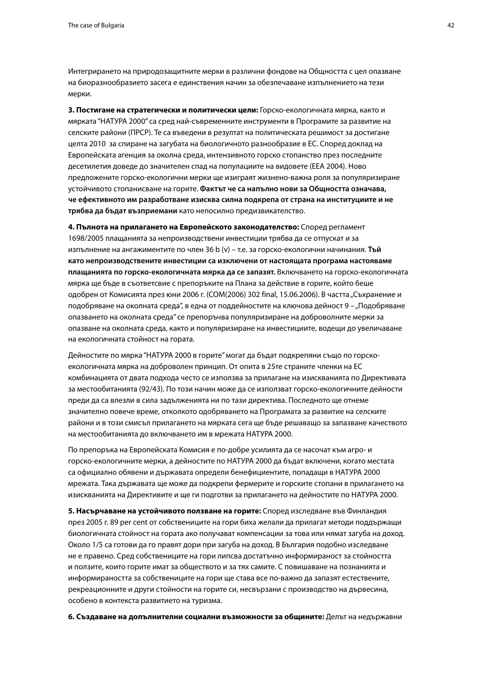Интегрирането на природозащитните мерки в различни фондове на Общността с цел опазване на биоразнообразието засега е единствения начин за обезпечаване изпълнението на тези мерки.

**3. Постигане на стратегически и политически цели:** Горско-екологичната мярка, както и мярката "НАТУРА 2000" са сред най-съвременните инструменти в Програмите за развитие на селските райони (ПРСР). Те са въведени в резултат на политическата решимост за достигане целта 2010 за спиране на загубата на биологичното разнообразие в ЕС. Според доклад на Европейската агенция за околна среда, интензивното горско стопанство през последните десетилетия доведе до значителен спад на популациите на видовете (ЕЕА 2004). Ново предложените горско-екологични мерки ще изиграят жизнено-важна роля за популяризиране устойчивото стопанисване на горите. **Фактът че са напълно нови за Общността означава, че ефективното им разработване изисква силна подкрепа от страна на институциите и не трябва да бъдат възприемани** като непосилно предизвикателство.

**4. Пълнота на прилагането на Европейското законодателство:** Според регламент 1698/2005 плащанията за непроизводствени инвестиции трябва да се отпускат и за изпълнение на ангажиментите по член 36 b (v) – т.е. за горско-екологични начинания. **Тъй като непроизводствените инвестиции са изключени от настоящата програма настояваме плащанията по горско-екологичната мярка да се запазят.** Включването на горско-екологичната мярка ще бъде в съответсвие с препоръките на Плана за действие в горите, който беше одобрен от Комисията през юни 2006 г. (COM(2006) 302 final, 15.06.2006). В частта "Съхранение и подобряване на околната среда", в една от поддейностите на ключова дейност 9 – "Подобряване опазването на околната среда" се препоръчва популяризиране на доброволните мерки за опазване на околната среда, както и популяризиране на инвестициите, водещи до увеличаване на екологичната стойност на гората.

Дейностите по мярка "НАТУРА 2000 в горите" могат да бъдат подкрепяни също по горскоекологичната мярка на доброволен принцип. От опита в 25те страните членки на ЕС комбинацията от двата подхода често се използва за прилагане на изискванията по Директивата за местообитанията (92/43). По този начин може да се използват горско-екологичните дейности преди да са влезли в сила задълженията ни по тази директива. Последното ще отнеме значително повече време, отколкото одобряването на Програмата за развитие на селските райони и в този смисъл прилагането на мярката сега ще бъде решаващо за запазване качеството на местообитанията до включването им в мрежата НАТУРА 2000.

По препоръка на Европейската Комисия е по-добре усилията да се насочат към агро- и горско-екологичните мерки, а дейностите по НАТУРА 2000 да бъдат включени, когато местата са официално обявени и държавата определи бенефициентите, попадащи в НАТУРА 2000 мрежата. Така държавата ще може да подкрепи фермерите и горските стопани в прилагането на изискванията на Директивите и ще ги подготви за прилагането на дейностите по НАТУРА 2000.

**5. Насърчаване на устойчивото ползване на горите:** Според изследване във Финландия през 2005 г. 89 per cent от собствениците на гори биха желали да прилагат методи поддържащи биологичната стойност на гората ако получават компенсации за това или нямат загуба на доход. Около 1/5 са готови да го правят дори при загуба на доход. В България подобно изследване не е правено. Сред собствениците на гори липсва достатъчно информираност за стойността и ползите, които горите имат за обществото и за тях самите. С повишаване на познанията и информираността за собствениците на гори ще става все по-важно да запазят естествените, рекреационните и други стойности на горите си, несвързани с производство на дървесина, особено в контекста развитието на туризма.

**6. Създаване на допълнителни социални възможности за общините:** Делът на недържавни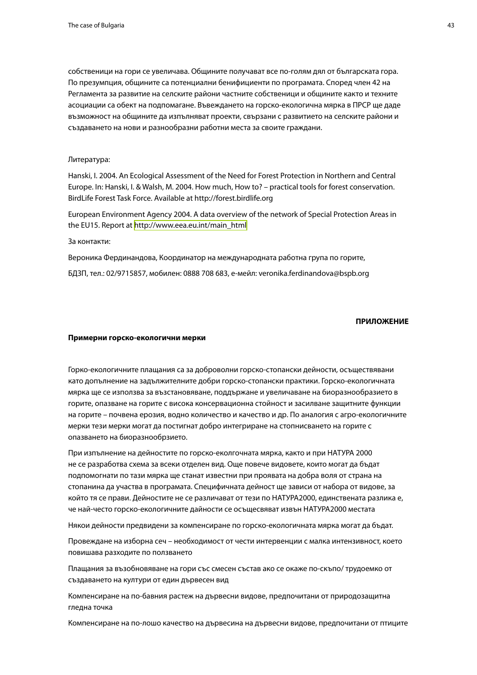собственици на гори се увеличава. Общините получават все по-голям дял от българската гора. По презумпция, общините са потенциални бенифициенти по програмата. Според член 42 на Регламента за развитие на селските райони частните собственици и общините както и техните асоциации са обект на подпомагане. Въвеждането на горско-екологична мярка в ПРСР ще даде възможност на общините да изпълняват проекти, свързани с развитието на селските райони и създаването на нови и разнообразни работни места за своите граждани.

#### Литература:

Hanski, I. 2004. An Ecological Assessment of the Need for Forest Protection in Northern and Central Europe. In: Hanski, I. & Walsh, M. 2004. How much, How to? – practical tools for forest conservation. BirdLife Forest Task Force. Available at http://forest.birdlife.org

European Environment Agency 2004. A data overview of the network of Special Protection Areas in the EU15. Report at [http://www.eea.eu.int/main\\_html](http://www.eea.eu.int/main_html)

За контакти:

Вероника Фердинандова, Координатор на международната работна група по горите,

БДЗП, тел.: 02/9715857, мобилен: 0888 708 683, е-мейл: veronika.ferdinandova@bspb.org

#### **ПРИЛОЖЕНИЕ**

#### **Примерни горско-екологични мерки**

Горко-екологичните плащания са за доброволни горско-стопански дейности, осъществявани като допълнение на задължителните добри горско-стопански практики. Горско-екологичната мярка ще се използва за възстановяване, поддържане и увеличаване на биоразнообразието в горите, опазване на горите с висока консервационна стойност и засилване защитните функции на горите – почвена ерозия, водно количество и качество и др. По аналогия с агро-екологичните мерки тези мерки могат да постигнат добро интегриране на стопнисването на горите с опазването на биоразнообрзието.

При изпълнение на дейностите по горско-еколгочната мярка, както и при НАТУРА 2000 не се разработва схема за всеки отделен вид. Още повече видовете, които могат да бъдат подпомогнати по тази мярка ще станат известни при проявата на добра воля от страна на стопанина да участва в програмата. Специфичната дейност ще зависи от набора от видове, за който тя се прави. Дейностите не се различават от тези по НАТУРА2000, единствената разлика е, че най-често горско-екологичните дайности се осъщесвяват извън НАТУРА2000 местата

Някои дейности предвидени за компенсиране по горско-екологичната мярка могат да бъдат.

Провеждане на изборна сеч – необходимост от чести интервенции с малка интензивност, което повишава разходите по ползването

Плащания за възобновяване на гори със смесен състав ако се окаже по-скъпо/ трудоемко от създаването на култури от един дървесен вид

Компенсиране на по-бавния растеж на дървесни видове, предпочитани от природозащитна гледна точка

Компенсиране на по-лошо качество на дървесина на дървесни видове, предпочитани от птиците